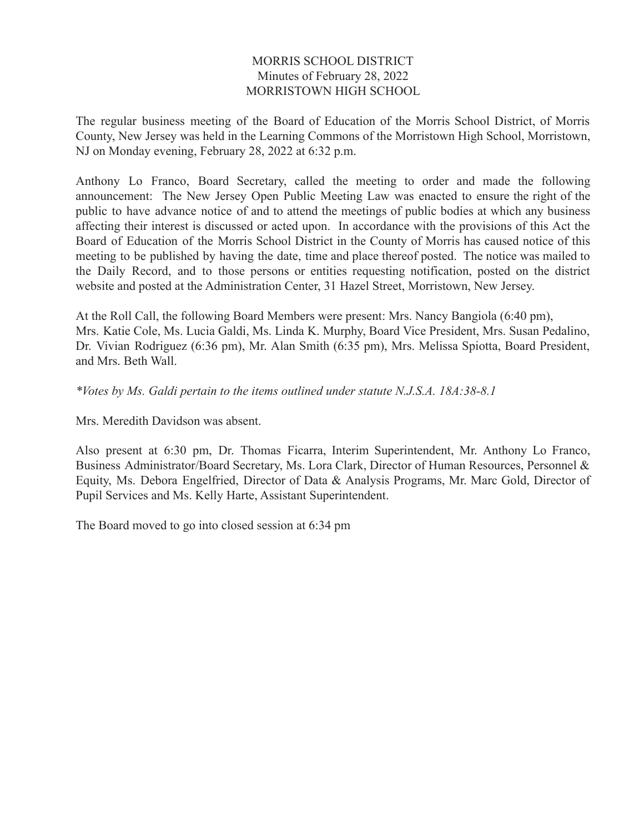#### MORRIS SCHOOL DISTRICT Minutes of February 28, 2022 MORRISTOWN HIGH SCHOOL

The regular business meeting of the Board of Education of the Morris School District, of Morris County, New Jersey was held in the Learning Commons of the Morristown High School, Morristown, NJ on Monday evening, February 28, 2022 at 6:32 p.m.

Anthony Lo Franco, Board Secretary, called the meeting to order and made the following announcement: The New Jersey Open Public Meeting Law was enacted to ensure the right of the public to have advance notice of and to attend the meetings of public bodies at which any business affecting their interest is discussed or acted upon. In accordance with the provisions of this Act the Board of Education of the Morris School District in the County of Morris has caused notice of this meeting to be published by having the date, time and place thereof posted. The notice was mailed to the Daily Record, and to those persons or entities requesting notification, posted on the district website and posted at the Administration Center, 31 Hazel Street, Morristown, New Jersey.

At the Roll Call, the following Board Members were present: Mrs. Nancy Bangiola (6:40 pm), Mrs. Katie Cole, Ms. Lucia Galdi, Ms. Linda K. Murphy, Board Vice President, Mrs. Susan Pedalino, Dr. Vivian Rodriguez (6:36 pm), Mr. Alan Smith (6:35 pm), Mrs. Melissa Spiotta, Board President, and Mrs. Beth Wall.

*\*Votes by Ms. Galdi pertain to the items outlined under statute N.J.S.A. 18A:38-8.1*

Mrs. Meredith Davidson was absent.

Also present at 6:30 pm, Dr. Thomas Ficarra, Interim Superintendent, Mr. Anthony Lo Franco, Business Administrator/Board Secretary, Ms. Lora Clark, Director of Human Resources, Personnel & Equity, Ms. Debora Engelfried, Director of Data & Analysis Programs, Mr. Marc Gold, Director of Pupil Services and Ms. Kelly Harte, Assistant Superintendent.

The Board moved to go into closed session at 6:34 pm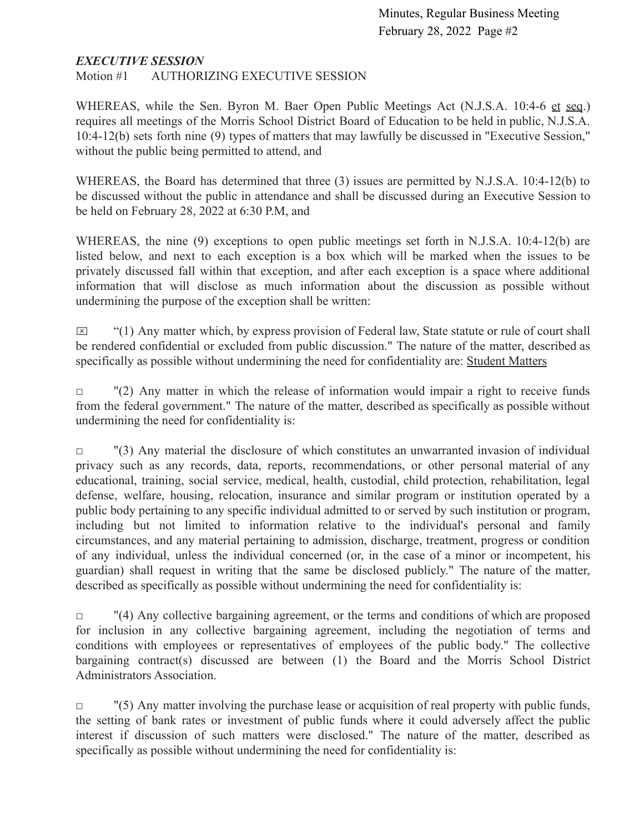#### *EXECUTIVE SESSION*

Motion #1 AUTHORIZING EXECUTIVE SESSION

WHEREAS, while the Sen. Byron M. Baer Open Public Meetings Act (N.J.S.A. 10:4-6 et seq.) requires all meetings of the Morris School District Board of Education to be held in public, N.J.S.A. 10:4-12(b) sets forth nine (9) types of matters that may lawfully be discussed in "Executive Session," without the public being permitted to attend, and

WHEREAS, the Board has determined that three (3) issues are permitted by N.J.S.A. 10:4-12(b) to be discussed without the public in attendance and shall be discussed during an Executive Session to be held on February 28, 2022 at 6:30 P.M, and

WHEREAS, the nine (9) exceptions to open public meetings set forth in N.J.S.A. 10:4-12(b) are listed below, and next to each exception is a box which will be marked when the issues to be privately discussed fall within that exception, and after each exception is a space where additional information that will disclose as much information about the discussion as possible without undermining the purpose of the exception shall be written:

 $\boxtimes$  "(1) Any matter which, by express provision of Federal law, State statute or rule of court shall be rendered confidential or excluded from public discussion." The nature of the matter, described as specifically as possible without undermining the need for confidentiality are: Student Matters

 $\Box$  "(2) Any matter in which the release of information would impair a right to receive funds from the federal government." The nature of the matter, described as specifically as possible without undermining the need for confidentiality is:

 $\Box$  "(3) Any material the disclosure of which constitutes an unwarranted invasion of individual privacy such as any records, data, reports, recommendations, or other personal material of any educational, training, social service, medical, health, custodial, child protection, rehabilitation, legal defense, welfare, housing, relocation, insurance and similar program or institution operated by a public body pertaining to any specific individual admitted to or served by such institution or program, including but not limited to information relative to the individual's personal and family circumstances, and any material pertaining to admission, discharge, treatment, progress or condition of any individual, unless the individual concerned (or, in the case of a minor or incompetent, his guardian) shall request in writing that the same be disclosed publicly." The nature of the matter, described as specifically as possible without undermining the need for confidentiality is:

 $\Box$  "(4) Any collective bargaining agreement, or the terms and conditions of which are proposed for inclusion in any collective bargaining agreement, including the negotiation of terms and conditions with employees or representatives of employees of the public body." The collective bargaining contract(s) discussed are between (1) the Board and the Morris School District Administrators Association.

 $\Box$  "(5) Any matter involving the purchase lease or acquisition of real property with public funds, the setting of bank rates or investment of public funds where it could adversely affect the public interest if discussion of such matters were disclosed." The nature of the matter, described as specifically as possible without undermining the need for confidentiality is: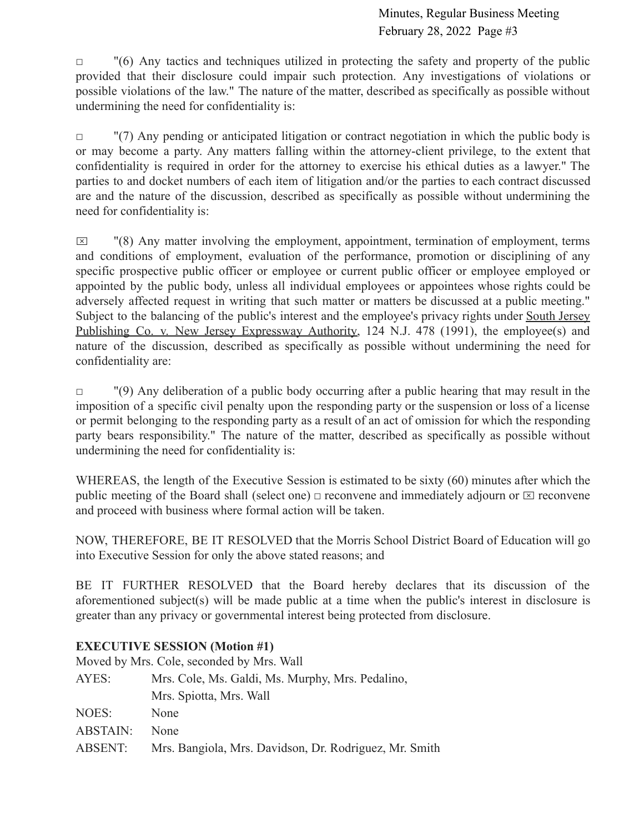$\Box$  "(6) Any tactics and techniques utilized in protecting the safety and property of the public provided that their disclosure could impair such protection. Any investigations of violations or possible violations of the law." The nature of the matter, described as specifically as possible without undermining the need for confidentiality is:

 $\Box$  "(7) Any pending or anticipated litigation or contract negotiation in which the public body is or may become a party. Any matters falling within the attorney-client privilege, to the extent that confidentiality is required in order for the attorney to exercise his ethical duties as a lawyer." The parties to and docket numbers of each item of litigation and/or the parties to each contract discussed are and the nature of the discussion, described as specifically as possible without undermining the need for confidentiality is:

 $\boxtimes$  "(8) Any matter involving the employment, appointment, termination of employment, terms and conditions of employment, evaluation of the performance, promotion or disciplining of any specific prospective public officer or employee or current public officer or employee employed or appointed by the public body, unless all individual employees or appointees whose rights could be adversely affected request in writing that such matter or matters be discussed at a public meeting." Subject to the balancing of the public's interest and the employee's privacy rights under South Jersey Publishing Co. v. New Jersey Expressway Authority, 124 N.J. 478 (1991), the employee(s) and nature of the discussion, described as specifically as possible without undermining the need for confidentiality are:

□ (9) Any deliberation of a public body occurring after a public hearing that may result in the imposition of a specific civil penalty upon the responding party or the suspension or loss of a license or permit belonging to the responding party as a result of an act of omission for which the responding party bears responsibility." The nature of the matter, described as specifically as possible without undermining the need for confidentiality is:

WHEREAS, the length of the Executive Session is estimated to be sixty (60) minutes after which the public meeting of the Board shall (select one)  $\Box$  reconvene and immediately adjourn or  $\Box$  reconvene and proceed with business where formal action will be taken.

NOW, THEREFORE, BE IT RESOLVED that the Morris School District Board of Education will go into Executive Session for only the above stated reasons; and

BE IT FURTHER RESOLVED that the Board hereby declares that its discussion of the aforementioned subject(s) will be made public at a time when the public's interest in disclosure is greater than any privacy or governmental interest being protected from disclosure.

### **EXECUTIVE SESSION (Motion #1)**

Moved by Mrs. Cole, seconded by Mrs. Wall

| Mrs. Cole, Ms. Galdi, Ms. Murphy, Mrs. Pedalino,       |  |  |
|--------------------------------------------------------|--|--|
| Mrs. Spiotta, Mrs. Wall                                |  |  |
| None                                                   |  |  |
| <b>None</b>                                            |  |  |
| Mrs. Bangiola, Mrs. Davidson, Dr. Rodriguez, Mr. Smith |  |  |
|                                                        |  |  |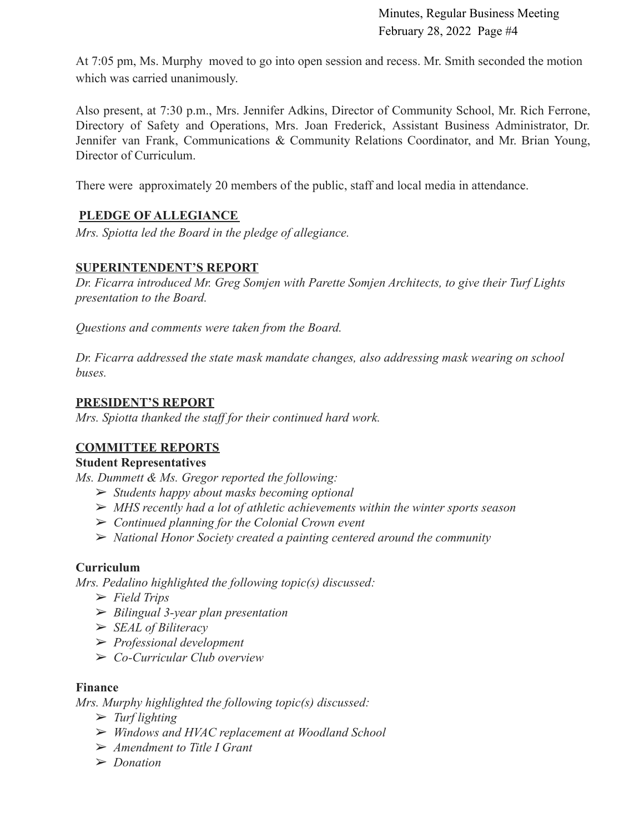At 7:05 pm, Ms. Murphy moved to go into open session and recess. Mr. Smith seconded the motion which was carried unanimously.

Also present, at 7:30 p.m., Mrs. Jennifer Adkins, Director of Community School, Mr. Rich Ferrone, Directory of Safety and Operations, Mrs. Joan Frederick, Assistant Business Administrator, Dr. Jennifer van Frank, Communications & Community Relations Coordinator, and Mr. Brian Young, Director of Curriculum.

There were approximately 20 members of the public, staff and local media in attendance.

### **PLEDGE OF ALLEGIANCE**

*Mrs. Spiotta led the Board in the pledge of allegiance.*

### **SUPERINTENDENT'S REPORT**

*Dr. Ficarra introduced Mr. Greg Somjen with Parette Somjen Architects, to give their Turf Lights presentation to the Board.*

*Questions and comments were taken from the Board.*

*Dr. Ficarra addressed the state mask mandate changes, also addressing mask wearing on school buses.*

### **PRESIDENT'S REPORT**

*Mrs. Spiotta thanked the staff for their continued hard work.*

### **COMMITTEE REPORTS**

### **Student Representatives**

*Ms. Dummett & Ms. Gregor reported the following:*

- ➢ *Students happy about masks becoming optional*
- ➢ *MHS recently had a lot of athletic achievements within the winter sports season*
- ➢ *Continued planning for the Colonial Crown event*
- ➢ *National Honor Society created a painting centered around the community*

### **Curriculum**

*Mrs. Pedalino highlighted the following topic(s) discussed:*

- ➢ *Field Trips*
- ➢ *Bilingual 3-year plan presentation*
- ➢ *SEAL of Biliteracy*
- ➢ *Professional development*
- ➢ *Co-Curricular Club overview*

#### **Finance**

*Mrs. Murphy highlighted the following topic(s) discussed:*

- ➢ *Turf lighting*
- ➢ *Windows and HVAC replacement at Woodland School*
- ➢ *Amendment to Title I Grant*
- ➢ *Donation*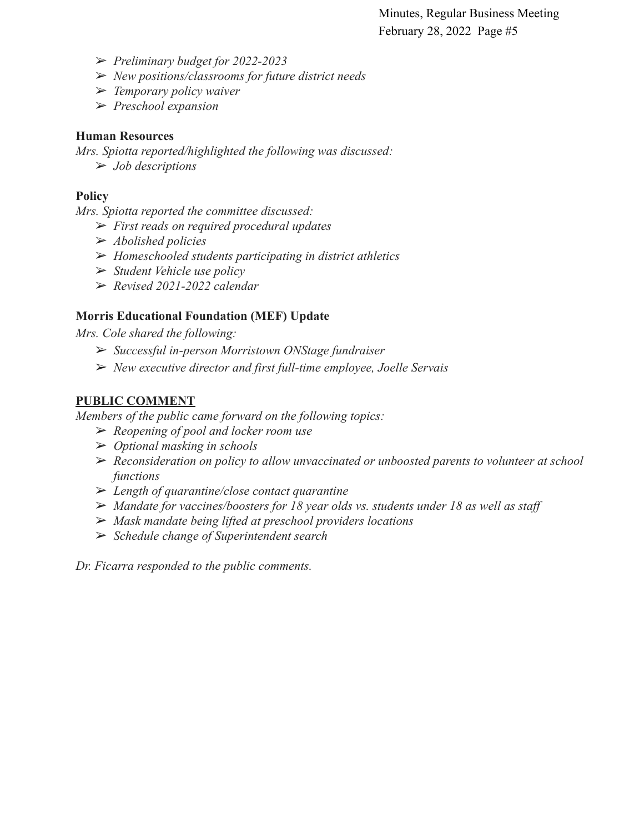- ➢ *Preliminary budget for 2022-2023*
- ➢ *New positions/classrooms for future district needs*
- ➢ *Temporary policy waiver*
- ➢ *Preschool expansion*

#### **Human Resources**

*Mrs. Spiotta reported/highlighted the following was discussed:*

➢ *Job descriptions*

#### **Policy**

*Mrs. Spiotta reported the committee discussed:*

- ➢ *First reads on required procedural updates*
- ➢ *Abolished policies*
- ➢ *Homeschooled students participating in district athletics*
- ➢ *Student Vehicle use policy*
- ➢ *Revised 2021-2022 calendar*

### **Morris Educational Foundation (MEF) Update**

*Mrs. Cole shared the following:*

- ➢ *Successful in-person Morristown ONStage fundraiser*
- ➢ *New executive director and first full-time employee, Joelle Servais*

#### **PUBLIC COMMENT**

*Members of the public came forward on the following topics:*

- ➢ *Reopening of pool and locker room use*
- ➢ *Optional masking in schools*
- ➢ *Reconsideration on policy to allow unvaccinated or unboosted parents to volunteer at school functions*
- ➢ *Length of quarantine/close contact quarantine*
- ➢ *Mandate for vaccines/boosters for 18 year olds vs. students under 18 as well as staff*
- ➢ *Mask mandate being lifted at preschool providers locations*
- ➢ *Schedule change of Superintendent search*

*Dr. Ficarra responded to the public comments.*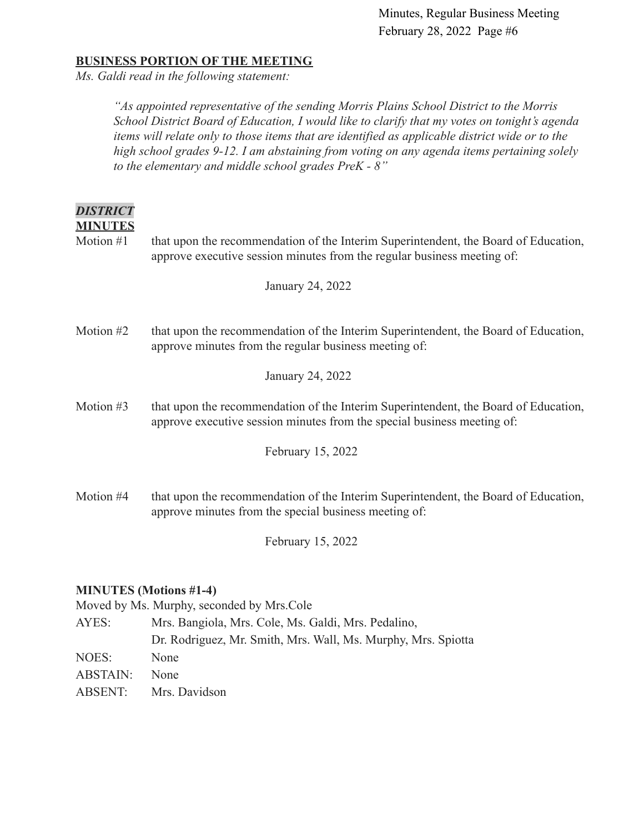#### **BUSINESS PORTION OF THE MEETING**

*Ms. Galdi read in the following statement:*

*"As appointed representative of the sending Morris Plains School District to the Morris School District Board of Education, I would like to clarify that my votes on tonight's agenda items will relate only to those items that are identified as applicable district wide or to the high school grades 9-12. I am abstaining from voting on any agenda items pertaining solely to the elementary and middle school grades PreK - 8"*

| <i><b>DISTRICT</b></i> |
|------------------------|
| <b>MINUTES</b>         |

Motion #1 that upon the recommendation of the Interim Superintendent, the Board of Education, approve executive session minutes from the regular business meeting of:

January 24, 2022

Motion #2 that upon the recommendation of the Interim Superintendent, the Board of Education, approve minutes from the regular business meeting of:

January 24, 2022

Motion #3 that upon the recommendation of the Interim Superintendent, the Board of Education, approve executive session minutes from the special business meeting of:

February 15, 2022

Motion #4 that upon the recommendation of the Interim Superintendent, the Board of Education, approve minutes from the special business meeting of:

February 15, 2022

#### **MINUTES (Motions #1-4)**

Moved by Ms. Murphy, seconded by Mrs.Cole

| AYES:    | Mrs. Bangiola, Mrs. Cole, Ms. Galdi, Mrs. Pedalino,           |  |  |
|----------|---------------------------------------------------------------|--|--|
|          | Dr. Rodriguez, Mr. Smith, Mrs. Wall, Ms. Murphy, Mrs. Spiotta |  |  |
| NOES:    | <b>None</b>                                                   |  |  |
| ABSTAIN: | <b>None</b>                                                   |  |  |
|          | ABSENT: Mrs. Davidson                                         |  |  |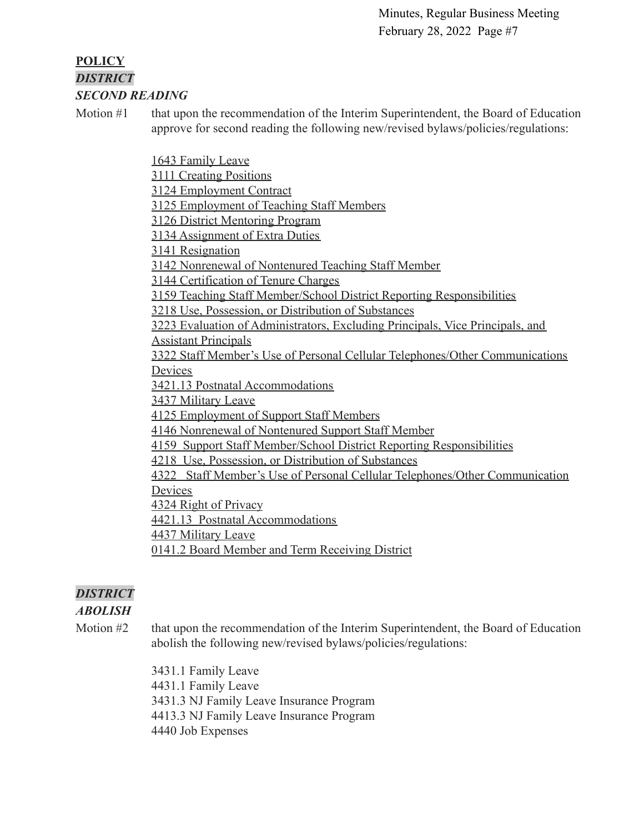### **POLICY** *DISTRICT SECOND READING*

Motion #1 that upon the recommendation of the Interim Superintendent, the Board of Education approve for second reading the following new/revised bylaws/policies/regulations:

[1643 Family Leave](https://drive.google.com/file/d/1LHz-nEfzHSH5LXCK7KHoqgJX8MSKJnSC/view?usp=sharing)

[3111 Creating Positions](https://drive.google.com/file/d/1aQfUbxqomuRTgzwQY_IvcX3Ke6Q-2Jqn/view?usp=sharing)

[3124 Employment Contract](https://drive.google.com/file/d/1Be3-aH1RnG6NR6hN9YKDZjEPkPn-zjQ8/view?usp=sharing)

[3125 Employment of Teaching Staff Members](https://drive.google.com/file/d/1ToeTHDQop9eg27QiSo84l7nqTpn6oWPG/view?usp=sharing)

[3126 District Mentoring Program](https://drive.google.com/file/d/123G8zV0x1YVXwlizvgTtrj0-raCCb32i/view?usp=sharing)

[3134 Assignment of Extra Duties](https://drive.google.com/file/d/16J9DA_KbQ6pWe-0fZpyy2HLDzGf7m703/view?usp=sharing)

[3141 Resignation](https://drive.google.com/file/d/1JcTOVmeooXK3K6b2ge4XENZvmJz4efw-/view?usp=sharing)

[3142 Nonrenewal of Nontenured Teaching Staff Member](https://drive.google.com/file/d/11p3xlSrw2sJURi61reiKJ947bpBX1WTn/view?usp=sharing)

[3144 Certification of Tenure Charges](https://drive.google.com/file/d/1tiVzfVf4CGe720QID-kDxnDWSI0VXStA/view?usp=sharing)

[3159 Teaching Staff Member/School District Reporting Responsibilities](https://drive.google.com/file/d/1TMuNG_PoptC4Zj0q1Q6kt5X4a_2xMv1_/view?usp=sharing)

[3218 Use, Possession, or Distribution of Substances](https://drive.google.com/file/d/1BnCMSTizTf25vsKfzo7CW2CqsQmDa5nF/view?usp=sharing)

[3223 Evaluation of Administrators, Excluding Principals, Vice Principals, and](https://drive.google.com/file/d/1X7Ggs35fdgRfcPBNOKuh74rXvMikTOsJ/view?usp=sharing) [Assistant Principals](https://drive.google.com/file/d/1X7Ggs35fdgRfcPBNOKuh74rXvMikTOsJ/view?usp=sharing)

[3322 Staff Member's Use of Personal Cellular Telephones/Other Communications](https://drive.google.com/file/d/1Y-QuWxnYg9AFxBPlbSygjqJzS5CP-JlO/view?usp=sharing) [Devices](https://drive.google.com/file/d/1Y-QuWxnYg9AFxBPlbSygjqJzS5CP-JlO/view?usp=sharing)

[3421.13 Postnatal Accommodations](https://drive.google.com/file/d/126rfz085QivyWxAO1bz_edY2jnAqwvPP/view?usp=sharing)

[3437 Military Leave](https://drive.google.com/file/d/1cKF7wMZM4dxErAfMidQVe8-rTJYWXLto/view?usp=sharing)

[4125 Employment of Support Staff Members](https://drive.google.com/file/d/1Q3qRjtdJDRfgHf1gjotAQ8QwjZU177Vb/view?usp=sharing)

[4146 Nonrenewal of Nontenured Support Staff Member](https://drive.google.com/file/d/1uF0e_Y0w2c6DKNJEGKxjAefqEQgTIXYw/view?usp=sharing)

[4159 Support Staff Member/School District Reporting Responsibilities](https://drive.google.com/file/d/1SivGwojSk9ENuJzcw_5DYeUoMcUDwBlZ/view?usp=sharing)

[4218 Use, Possession, or Distribution of Substances](https://drive.google.com/file/d/1t55hnBoOZOnQCvSEGx--GxIBX1GzmPti/view?usp=sharing)

[4322 Staff Member's Use of Personal Cellular Telephones/Other Communication](https://drive.google.com/file/d/1GOttN3wap37r87nqKL_nunQRMGKldNs3/view?usp=sharing) [Devices](https://drive.google.com/file/d/1GOttN3wap37r87nqKL_nunQRMGKldNs3/view?usp=sharing)

[4324 Right of Privacy](https://drive.google.com/file/d/1eGkjKSM5d7rFwtTAAi2hdG9KzwHr7DY6/view?usp=sharing)

[4421.13 Postnatal Accommodations](https://drive.google.com/file/d/10IniTHSfj341AT8AnYKQC4kEmHEyX2OK/view?usp=sharing)

[4437 Military Leave](https://drive.google.com/file/d/1su7vpv1TWdRnT-ccJVgKLAibO0GhvSMM/view?usp=sharing)

[0141.2 Board Member and Term Receiving District](https://drive.google.com/file/d/17VZP43HMl0Ys7Kq-Kr9YZewBNcKy48q-/view?usp=sharing)

# *DISTRICT*

### *ABOLISH*

Motion #2 that upon the recommendation of the Interim Superintendent, the Board of Education abolish the following new/revised bylaws/policies/regulations:

> 3431.1 Family Leave 4431.1 Family Leave 3431.3 NJ Family Leave Insurance Program 4413.3 NJ Family Leave Insurance Program 4440 Job Expenses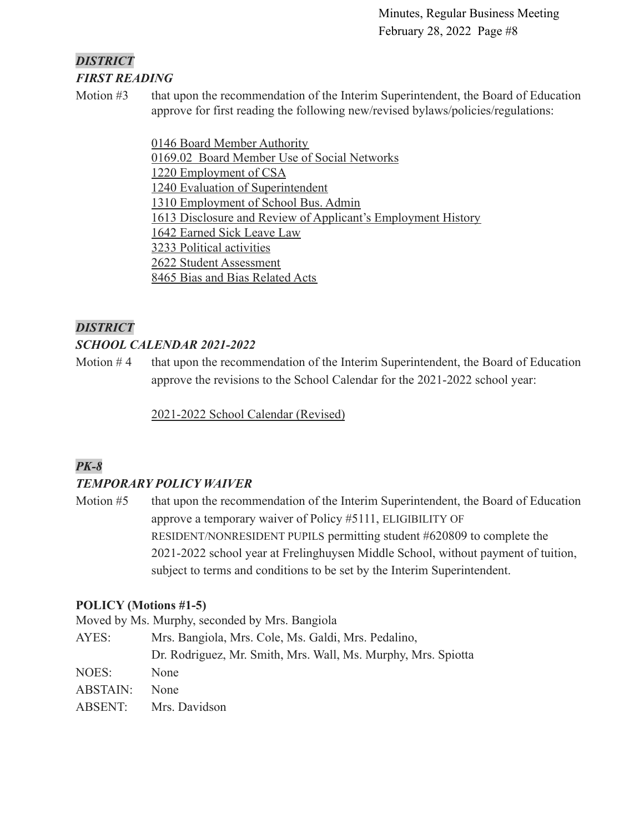#### *DISTRICT FIRST READING*

Motion #3 that upon the recommendation of the Interim Superintendent, the Board of Education approve for first reading the following new/revised bylaws/policies/regulations:

> [0146 Board Member Authority](https://drive.google.com/file/d/14BRwRgvT29NLzMLcOiUURXwyqpKybDu1/view?usp=sharing) [0169.02 Board Member Use of Social Networks](https://drive.google.com/file/d/1dPnhYH5XKOgB3w0Asii7QdiWYZlwHQ4X/view?usp=sharing) [1220 Employment of CSA](https://drive.google.com/file/d/1Aw_xKDM7Gjqlu28pyARsVuxuTkSqaIv_/view?usp=sharing) [1240 Evaluation of Superintendent](https://drive.google.com/file/d/1S8dxQ0f9fT2E595oBmfJ6EMWv0mcvobI/view?usp=sharing) [1310 Employment of School Bus. Admin](https://drive.google.com/file/d/1pGvOKIfwpvJtsbseAbMhdheBHeHMSbc4/view?usp=sharing) [1613 Disclosure and Review of Applicant's Employment History](https://drive.google.com/file/d/18SiGV7AuWBE0l6v8PxdQBfH2op4pynl7/view?usp=sharing) [1642 Earned Sick Leave Law](https://drive.google.com/file/d/1UUEnbeVnZ9mgfPmhkrxqYqr9THpv-UxO/view?usp=sharing) [3233 Political activities](https://drive.google.com/file/d/1IsjzWTNP5L_Dlf98UJbuPOIlNoZ5oF4N/view?usp=sharing) [2622 Student Assessment](https://drive.google.com/file/d/1_7bc43jEK_Ja1zwGqcaAEcmfLMoHp9e0/view?usp=sharing) [8465 Bias and Bias Related Acts](https://drive.google.com/file/d/1bcWaiZ3uF04GHfj1yjFcPzAGxg6MGVz_/view?usp=sharing)

### *DISTRICT*

### *SCHOOL CALENDAR 2021-2022*

Motion  $#4$  that upon the recommendation of the Interim Superintendent, the Board of Education approve the revisions to the School Calendar for the 2021-2022 school year:

[2021-2022 School Calendar \(Revised\)](https://drive.google.com/file/d/1CbtKnf3AzmyqQg4zIXRl0hKmD7db4Qja/view?usp=sharingJFzfnuaNT2uQq5tKDS4Jg7X_xj/view?usp=sharingKOyy4tA9ruqR25i0F2ohE0Q_i/view?usp=sharingmylq5P2PEYJzoWGfFZBdBzgSvTj/view?usp=sharing)

### *PK-8*

### *TEMPORARY POLICY WAIVER*

Motion #5 that upon the recommendation of the Interim Superintendent, the Board of Education approve a temporary waiver of Policy #5111, ELIGIBILITY OF RESIDENT/NONRESIDENT PUPILS permitting student #620809 to complete the 2021-2022 school year at Frelinghuysen Middle School, without payment of tuition, subject to terms and conditions to be set by the Interim Superintendent.

### **POLICY (Motions #1-5)**

Moved by Ms. Murphy, seconded by Mrs. Bangiola

AYES: Mrs. Bangiola, Mrs. Cole, Ms. Galdi, Mrs. Pedalino, Dr. Rodriguez, Mr. Smith, Mrs. Wall, Ms. Murphy, Mrs. Spiotta NOES: None ABSTAIN: None ABSENT: Mrs. Davidson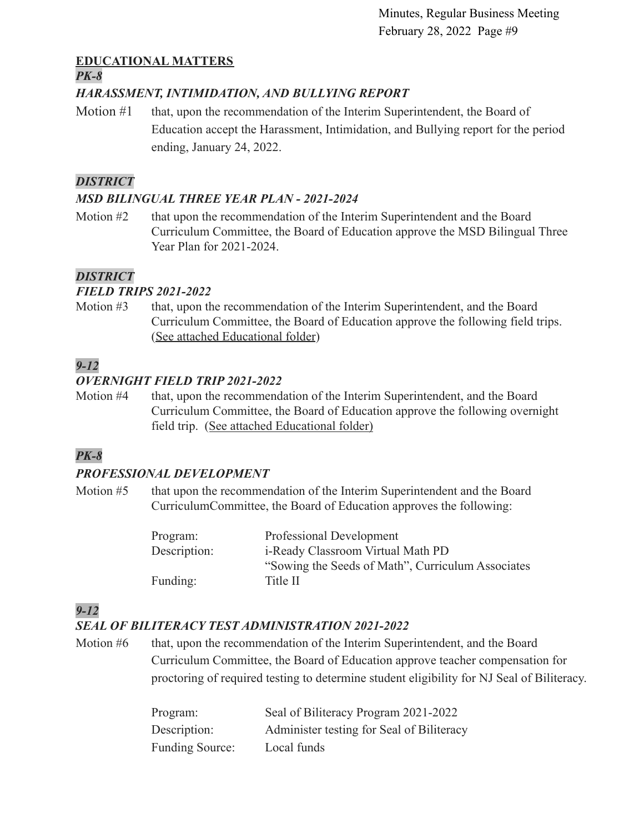### **EDUCATIONAL MATTERS**

#### *PK-8*

### *HARASSMENT, INTIMIDATION, AND BULLYING REPORT*

Motion #1 that, upon the recommendation of the Interim Superintendent, the Board of Education accept the Harassment, Intimidation, and Bullying report for the period ending, January 24, 2022.

### *DISTRICT*

### *MSD BILINGUAL THREE YEAR PLAN - 2021-2024*

Motion #2 that upon the recommendation of the Interim Superintendent and the Board Curriculum Committee, the Board of Education approve the MSD Bilingual Three Year Plan for 2021-2024.

### *DISTRICT*

### *FIELD TRIPS 2021-2022*

Motion #3 that, upon the recommendation of the Interim Superintendent, and the Board Curriculum Committee, the Board of Education approve the following field trips. ([See attached Educational folder](https://drive.google.com/file/d/1Kk5Oj55hhOghPmVOuwIBhEhKKICWjNNb/view?usp=sharing))

## *9-12*

### *OVERNIGHT FIELD TRIP 2021-2022*

Motion #4 that, upon the recommendation of the Interim Superintendent, and the Board Curriculum Committee, the Board of Education approve the following overnight field trip. ([See attached Educational folder\)](https://drive.google.com/file/d/1ujoRlC6jZzERVDdQkErySirrtybSE_9m/view?usp=sharing)

### *PK-8*

### *PROFESSIONAL DEVELOPMENT*

Motion #5 that upon the recommendation of the Interim Superintendent and the Board CurriculumCommittee, the Board of Education approves the following:

| Program:     | Professional Development                          |  |
|--------------|---------------------------------------------------|--|
| Description: | <i>i</i> -Ready Classroom Virtual Math PD         |  |
|              | "Sowing the Seeds of Math", Curriculum Associates |  |
| Funding:     | Title II                                          |  |

## *9-12*

### *SEAL OF BILITERACY TEST ADMINISTRATION 2021-2022*

Motion #6 that, upon the recommendation of the Interim Superintendent, and the Board Curriculum Committee, the Board of Education approve teacher compensation for proctoring of required testing to determine student eligibility for NJ Seal of Biliteracy.

| Program:               | Seal of Biliteracy Program 2021-2022      |
|------------------------|-------------------------------------------|
| Description:           | Administer testing for Seal of Biliteracy |
| <b>Funding Source:</b> | Local funds                               |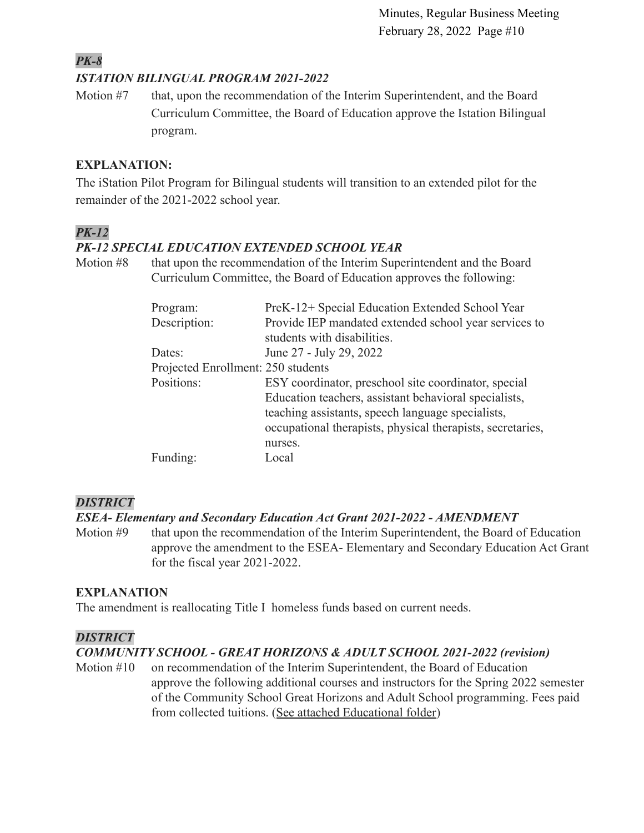### *PK-8 ISTATION BILINGUAL PROGRAM 2021-2022*

Motion #7 that, upon the recommendation of the Interim Superintendent, and the Board Curriculum Committee, the Board of Education approve the Istation Bilingual program.

### **EXPLANATION:**

The iStation Pilot Program for Bilingual students will transition to an extended pilot for the remainder of the 2021-2022 school year.

### *PK-12*

### *PK-12 SPECIAL EDUCATION EXTENDED SCHOOL YEAR*

Motion #8 that upon the recommendation of the Interim Superintendent and the Board Curriculum Committee, the Board of Education approves the following:

| Program:                           | PreK-12+ Special Education Extended School Year            |  |  |
|------------------------------------|------------------------------------------------------------|--|--|
| Description:                       | Provide IEP mandated extended school year services to      |  |  |
|                                    | students with disabilities.                                |  |  |
| Dates:                             | June 27 - July 29, 2022                                    |  |  |
| Projected Enrollment: 250 students |                                                            |  |  |
| Positions:                         | ESY coordinator, preschool site coordinator, special       |  |  |
|                                    | Education teachers, assistant behavioral specialists,      |  |  |
|                                    | teaching assistants, speech language specialists,          |  |  |
|                                    | occupational therapists, physical therapists, secretaries, |  |  |
|                                    | nurses.                                                    |  |  |
| Funding:                           | Local                                                      |  |  |

### *DISTRICT*

### *ESEA- Elementary and Secondary Education Act Grant 2021-2022 - AMENDMENT*

Motion #9 that upon the recommendation of the Interim Superintendent, the Board of Education approve the amendment to the ESEA- Elementary and Secondary Education Act Grant for the fiscal year 2021-2022.

### **EXPLANATION**

The amendment is reallocating Title I homeless funds based on current needs.

#### *DISTRICT*

### *COMMUNITY SCHOOL - GREAT HORIZONS & ADULT SCHOOL 2021-2022 (revision)*

Motion #10 on recommendation of the Interim Superintendent, the Board of Education approve the following additional courses and instructors for the Spring 2022 semester of the Community School Great Horizons and Adult School programming. Fees paid from collected tuitions. ([See attached Educational](https://drive.google.com/file/d/1zLlQcLeEdM9A6UstRUB81QM2VaAPvSbr/view?usp=sharing) folder)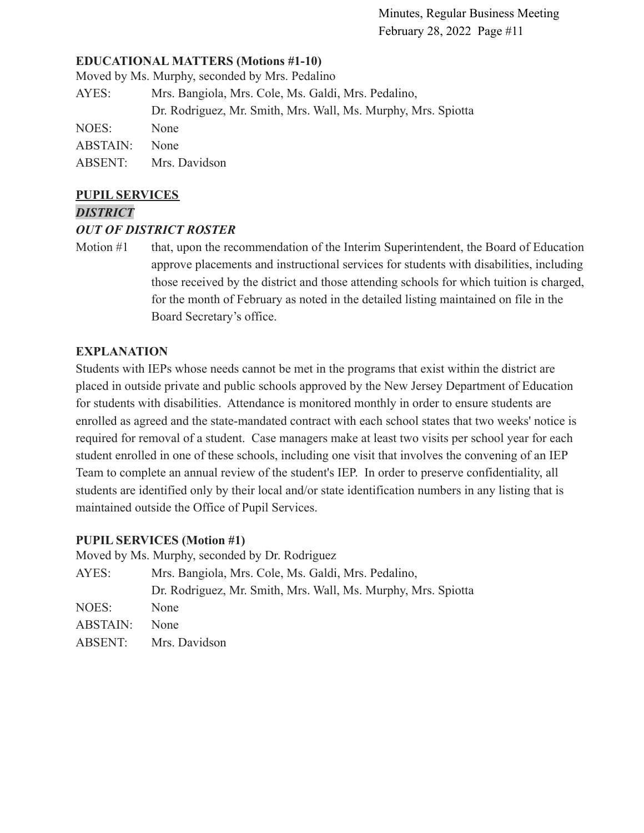#### **EDUCATIONAL MATTERS (Motions #1-10)**

Moved by Ms. Murphy, seconded by Mrs. Pedalino

| Mrs. Bangiola, Mrs. Cole, Ms. Galdi, Mrs. Pedalino,           |  |  |
|---------------------------------------------------------------|--|--|
| Dr. Rodriguez, Mr. Smith, Mrs. Wall, Ms. Murphy, Mrs. Spiotta |  |  |
| None                                                          |  |  |
| <b>None</b>                                                   |  |  |
| Mrs. Davidson                                                 |  |  |
|                                                               |  |  |

#### **PUPIL SERVICES**

#### *DISTRICT*

#### *OUT OF DISTRICT ROSTER*

Motion #1 that, upon the recommendation of the Interim Superintendent, the Board of Education approve placements and instructional services for students with disabilities, including those received by the district and those attending schools for which tuition is charged, for the month of February as noted in the detailed listing maintained on file in the Board Secretary's office.

#### **EXPLANATION**

Students with IEPs whose needs cannot be met in the programs that exist within the district are placed in outside private and public schools approved by the New Jersey Department of Education for students with disabilities. Attendance is monitored monthly in order to ensure students are enrolled as agreed and the state-mandated contract with each school states that two weeks' notice is required for removal of a student. Case managers make at least two visits per school year for each student enrolled in one of these schools, including one visit that involves the convening of an IEP Team to complete an annual review of the student's IEP. In order to preserve confidentiality, all students are identified only by their local and/or state identification numbers in any listing that is maintained outside the Office of Pupil Services.

#### **PUPIL SERVICES (Motion #1)**

| Moved by Ms. Murphy, seconded by Dr. Rodriguez |                                                               |  |  |
|------------------------------------------------|---------------------------------------------------------------|--|--|
| AYES:                                          | Mrs. Bangiola, Mrs. Cole, Ms. Galdi, Mrs. Pedalino,           |  |  |
|                                                | Dr. Rodriguez, Mr. Smith, Mrs. Wall, Ms. Murphy, Mrs. Spiotta |  |  |
| NOES:                                          | None                                                          |  |  |
| ABSTAIN:                                       | None                                                          |  |  |
| ABSENT:                                        | Mrs. Davidson                                                 |  |  |
|                                                |                                                               |  |  |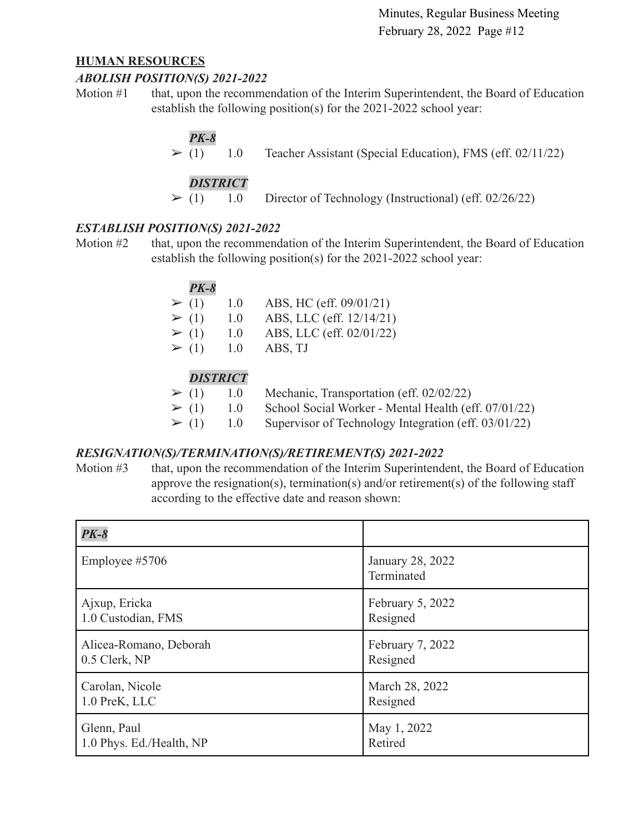#### **HUMAN RESOURCES**

#### *ABOLISH POSITION(S) 2021-2022*

Motion #1 that, upon the recommendation of the Interim Superintendent, the Board of Education establish the following position(s) for the 2021-2022 school year:

### *PK-8*

 $\triangleright$  (1) 1.0 Teacher Assistant (Special Education), FMS (eff. 02/11/22)

### *DISTRICT*

 $\geq$  (1) 1.0 Director of Technology (Instructional) (eff. 02/26/22)

### *ESTABLISH POSITION(S) 2021-2022*

Motion #2 that, upon the recommendation of the Interim Superintendent, the Board of Education establish the following position(s) for the 2021-2022 school year:

| <b>PK-8</b> |     |                          |
|-------------|-----|--------------------------|
| $\geq (1)$  | 1.0 | ABS, HC (eff. 09/01/21)  |
| $\geq (1)$  | 1.0 | ABS, LLC (eff. 12/14/21) |
| $\geq (1)$  | 1.0 | ABS, LLC (eff. 02/01/22) |
| $\geq (1)$  | 1.0 | ABS, TJ                  |
|             |     |                          |
|             |     |                          |

### *DISTRICT*

- $\triangleright$  (1) 1.0 Mechanic, Transportation (eff. 02/02/22)  $\geq$  (1) 1.0 School Social Worker - Mental Health (eff. 07/01/22)
- $\geq$  (1) 1.0 Supervisor of Technology Integration (eff. 03/01/22)

#### *RESIGNATION(S)/TERMINATION(S)/RETIREMENT(S) 2021-2022*

Motion #3 that, upon the recommendation of the Interim Superintendent, the Board of Education approve the resignation(s), termination(s) and/or retirement(s) of the following staff according to the effective date and reason shown:

| $PK-8$                   |                                |
|--------------------------|--------------------------------|
| Employee #5706           | January 28, 2022<br>Terminated |
| Ajxup, Ericka            | February 5, 2022               |
| 1.0 Custodian, FMS       | Resigned                       |
| Alicea-Romano, Deborah   | February 7, 2022               |
| 0.5 Clerk, NP            | Resigned                       |
| Carolan, Nicole          | March 28, 2022                 |
| 1.0 PreK, LLC            | Resigned                       |
| Glenn, Paul              | May 1, 2022                    |
| 1.0 Phys. Ed./Health, NP | Retired                        |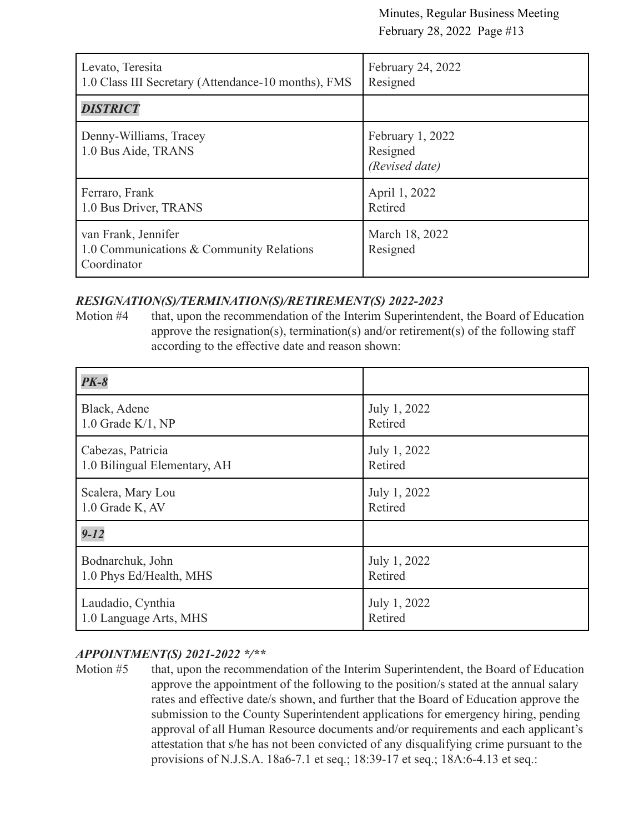| Levato, Teresita<br>1.0 Class III Secretary (Attendance-10 months), FMS        | February 24, 2022<br>Resigned                  |
|--------------------------------------------------------------------------------|------------------------------------------------|
| <b>DISTRICT</b>                                                                |                                                |
| Denny-Williams, Tracey<br>1.0 Bus Aide, TRANS                                  | February 1, 2022<br>Resigned<br>(Revised date) |
| Ferraro, Frank<br>1.0 Bus Driver, TRANS                                        | April 1, 2022<br>Retired                       |
| van Frank, Jennifer<br>1.0 Communications & Community Relations<br>Coordinator | March 18, 2022<br>Resigned                     |

#### *RESIGNATION(S)/TERMINATION(S)/RETIREMENT(S) 2022-2023*

Motion #4 that, upon the recommendation of the Interim Superintendent, the Board of Education approve the resignation(s), termination(s) and/or retirement(s) of the following staff according to the effective date and reason shown:

| $PK-8$                       |              |
|------------------------------|--------------|
| Black, Adene                 | July 1, 2022 |
| $1.0$ Grade K/1, NP          | Retired      |
| Cabezas, Patricia            | July 1, 2022 |
| 1.0 Bilingual Elementary, AH | Retired      |
| Scalera, Mary Lou            | July 1, 2022 |
| 1.0 Grade K, AV              | Retired      |
| $9 - 12$                     |              |
| Bodnarchuk, John             | July 1, 2022 |
| 1.0 Phys Ed/Health, MHS      | Retired      |
| Laudadio, Cynthia            | July 1, 2022 |
| 1.0 Language Arts, MHS       | Retired      |

### *APPOINTMENT(S) 2021-2022 \*/\*\**

Motion #5 that, upon the recommendation of the Interim Superintendent, the Board of Education approve the appointment of the following to the position/s stated at the annual salary rates and effective date/s shown, and further that the Board of Education approve the submission to the County Superintendent applications for emergency hiring, pending approval of all Human Resource documents and/or requirements and each applicant's attestation that s/he has not been convicted of any disqualifying crime pursuant to the provisions of N.J.S.A. 18a6-7.1 et seq.; 18:39-17 et seq.; 18A:6-4.13 et seq.: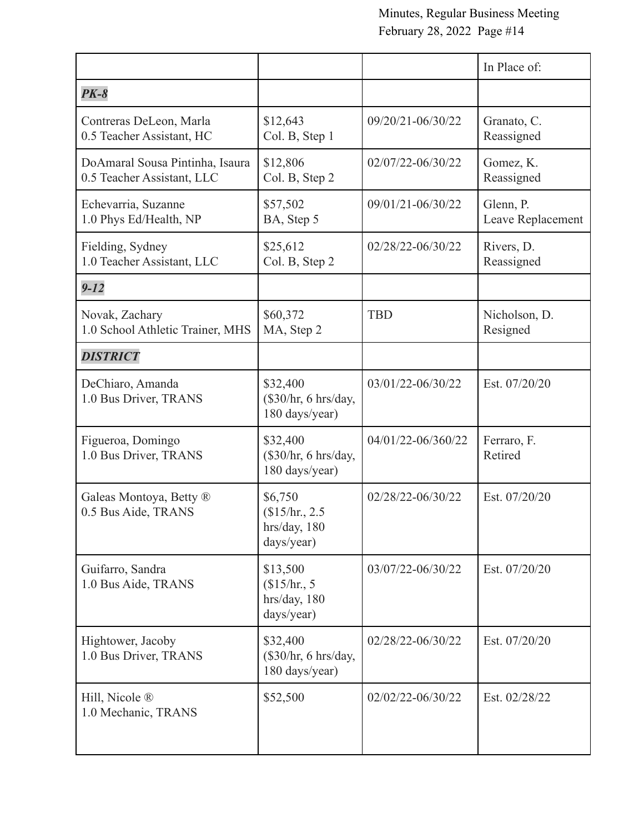|                                                               |                                                       |                    | In Place of:                   |
|---------------------------------------------------------------|-------------------------------------------------------|--------------------|--------------------------------|
| $PK-8$                                                        |                                                       |                    |                                |
| Contreras DeLeon, Marla<br>0.5 Teacher Assistant, HC          | \$12,643<br>Col. B, Step 1                            | 09/20/21-06/30/22  | Granato, C.<br>Reassigned      |
| DoAmaral Sousa Pintinha, Isaura<br>0.5 Teacher Assistant, LLC | \$12,806<br>Col. B, Step 2                            | 02/07/22-06/30/22  | Gomez, K.<br>Reassigned        |
| Echevarria, Suzanne<br>1.0 Phys Ed/Health, NP                 | \$57,502<br>BA, Step 5                                | 09/01/21-06/30/22  | Glenn, P.<br>Leave Replacement |
| Fielding, Sydney<br>1.0 Teacher Assistant, LLC                | \$25,612<br>Col. B, Step 2                            | 02/28/22-06/30/22  | Rivers, D.<br>Reassigned       |
| $9 - 12$                                                      |                                                       |                    |                                |
| Novak, Zachary<br>1.0 School Athletic Trainer, MHS            | \$60,372<br>MA, Step 2                                | <b>TBD</b>         | Nicholson, D.<br>Resigned      |
| <b>DISTRICT</b>                                               |                                                       |                    |                                |
| DeChiaro, Amanda<br>1.0 Bus Driver, TRANS                     | \$32,400<br>$(\$30/hr, 6 hrs/day,$<br>180 days/year)  | 03/01/22-06/30/22  | Est. 07/20/20                  |
| Figueroa, Domingo<br>1.0 Bus Driver, TRANS                    | \$32,400<br>$(\$30/hr, 6 hrs/day,$<br>180 days/year)  | 04/01/22-06/360/22 | Ferraro, F.<br>Retired         |
| Galeas Montoya, Betty ®<br>0.5 Bus Aide, TRANS                | \$6,750<br>\$15/hr, 2.5<br>hrs/day, 180<br>days/year) | 02/28/22-06/30/22  | Est. 07/20/20                  |
| Guifarro, Sandra<br>1.0 Bus Aide, TRANS                       | \$13,500<br>\$15/hr.5<br>hrs/day, 180<br>days/year)   | 03/07/22-06/30/22  | Est. 07/20/20                  |
| Hightower, Jacoby<br>1.0 Bus Driver, TRANS                    | \$32,400<br>$(\$30/hr, 6 hrs/day,$<br>180 days/year)  | 02/28/22-06/30/22  | Est. 07/20/20                  |
| Hill, Nicole ®<br>1.0 Mechanic, TRANS                         | \$52,500                                              | 02/02/22-06/30/22  | Est. 02/28/22                  |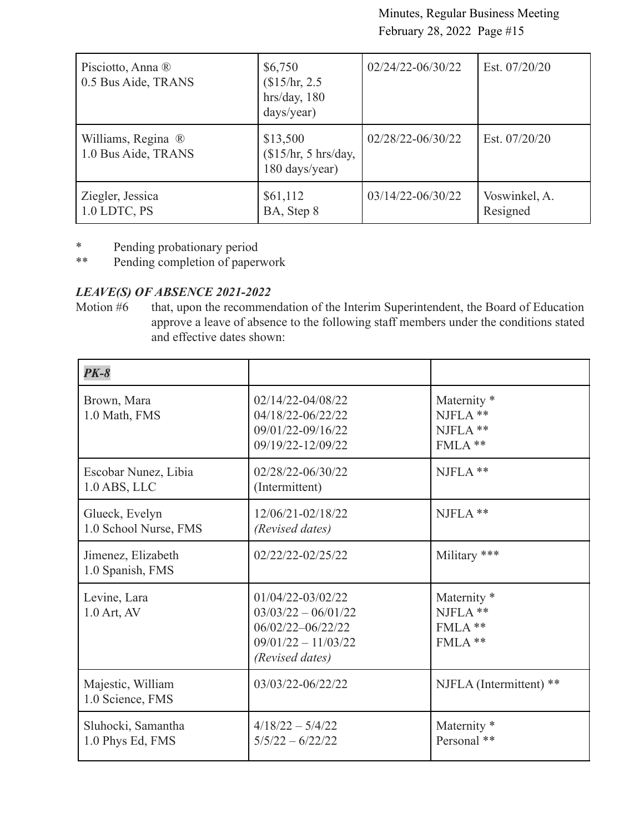| Pisciotto, Anna ®<br>0.5 Bus Aide, TRANS  | \$6,750<br>\$15/hr, 2.5<br>hrs/day, 180<br>days/year) | 02/24/22-06/30/22 | Est. 07/20/20             |
|-------------------------------------------|-------------------------------------------------------|-------------------|---------------------------|
| Williams, Regina ®<br>1.0 Bus Aide, TRANS | \$13,500<br>\$15/hr, 5 hrs/day,<br>180 days/year)     | 02/28/22-06/30/22 | Est. 07/20/20             |
| Ziegler, Jessica<br>1.0 LDTC, PS          | \$61,112<br>BA, Step 8                                | 03/14/22-06/30/22 | Voswinkel, A.<br>Resigned |

- \* Pending probationary period<br>\*\* Pending completion of paper
- Pending completion of paperwork

### *LEAVE(S) OF ABSENCE 2021-2022*

Motion #6 that, upon the recommendation of the Interim Superintendent, the Board of Education approve a leave of absence to the following staff members under the conditions stated and effective dates shown:

| $PK-8$                                  |                                                                                                             |                                                                 |
|-----------------------------------------|-------------------------------------------------------------------------------------------------------------|-----------------------------------------------------------------|
| Brown, Mara<br>1.0 Math, FMS            | 02/14/22-04/08/22<br>04/18/22-06/22/22<br>09/01/22-09/16/22<br>09/19/22-12/09/22                            | Maternity <sup>*</sup><br>$NIFLA$ **<br>$NIFLA$ **<br>$FMLA$ ** |
| Escobar Nunez, Libia<br>$1.0$ ABS, LLC  | 02/28/22-06/30/22<br>(Intermittent)                                                                         | NJFLA **                                                        |
| Glueck, Evelyn<br>1.0 School Nurse, FMS | 12/06/21-02/18/22<br>(Revised dates)                                                                        | $NJFLA$ **                                                      |
| Jimenez, Elizabeth<br>1.0 Spanish, FMS  | 02/22/22-02/25/22                                                                                           | Military ***                                                    |
| Levine, Lara<br>1.0 Art, AV             | 01/04/22-03/02/22<br>$03/03/22 - 06/01/22$<br>06/02/22-06/22/22<br>$09/01/22 - 11/03/22$<br>(Revised dates) | Maternity <sup>*</sup><br>NJFLA **<br>$FMLA$ **<br>$FMLA$ **    |
| Majestic, William<br>1.0 Science, FMS   | 03/03/22-06/22/22                                                                                           | NJFLA (Intermittent) **                                         |
| Sluhocki, Samantha<br>1.0 Phys Ed, FMS  | $4/18/22 - 5/4/22$<br>$5/5/22 - 6/22/22$                                                                    | Maternity <sup>*</sup><br>Personal **                           |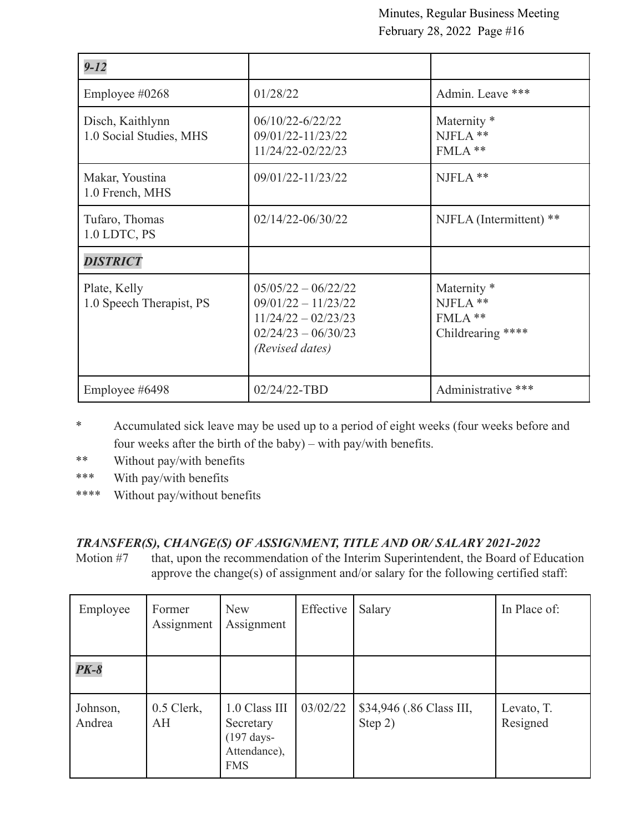| $9 - 12$                                    |                                                                                                                     |                                                                    |
|---------------------------------------------|---------------------------------------------------------------------------------------------------------------------|--------------------------------------------------------------------|
| Employee #0268                              | 01/28/22                                                                                                            | Admin. Leave ***                                                   |
| Disch, Kaithlynn<br>1.0 Social Studies, MHS | $06/10/22 - 6/22/22$<br>09/01/22-11/23/22<br>11/24/22-02/22/23                                                      | Maternity <sup>*</sup><br>NJFLA **<br>FMLA **                      |
| Makar, Youstina<br>1.0 French, MHS          | 09/01/22-11/23/22                                                                                                   | NJFLA **                                                           |
| Tufaro, Thomas<br>1.0 LDTC, PS              | $02/14/22 - 06/30/22$                                                                                               | NJFLA (Intermittent) **                                            |
| <b>DISTRICT</b>                             |                                                                                                                     |                                                                    |
| Plate, Kelly<br>1.0 Speech Therapist, PS    | $05/05/22 - 06/22/22$<br>$09/01/22 - 11/23/22$<br>$11/24/22 - 02/23/23$<br>$02/24/23 - 06/30/23$<br>(Revised dates) | Maternity <sup>*</sup><br>NJFLA **<br>FMLA **<br>Childrearing **** |
| Employee #6498                              | 02/24/22-TBD                                                                                                        | Administrative ***                                                 |

- \* Accumulated sick leave may be used up to a period of eight weeks (four weeks before and four weeks after the birth of the baby) – with pay/with benefits.
- \*\* Without pay/with benefits
- \*\*\* With pay/with benefits
- \*\*\*\* Without pay/without benefits

### *TRANSFER(S), CHANGE(S) OF ASSIGNMENT, TITLE AND OR/ SALARY 2021-2022*

Motion #7 that, upon the recommendation of the Interim Superintendent, the Board of Education approve the change(s) of assignment and/or salary for the following certified staff:

| Employee           | Former<br>Assignment | <b>New</b><br>Assignment                                                          | Effective | Salary                              | In Place of:           |
|--------------------|----------------------|-----------------------------------------------------------------------------------|-----------|-------------------------------------|------------------------|
| $PK-8$             |                      |                                                                                   |           |                                     |                        |
| Johnson,<br>Andrea | $0.5$ Clerk,<br>AH   | 1.0 Class III<br>Secretary<br>$(197 \text{ days} -$<br>Attendance),<br><b>FMS</b> | 03/02/22  | \$34,946 (.86 Class III,<br>Step 2) | Levato, T.<br>Resigned |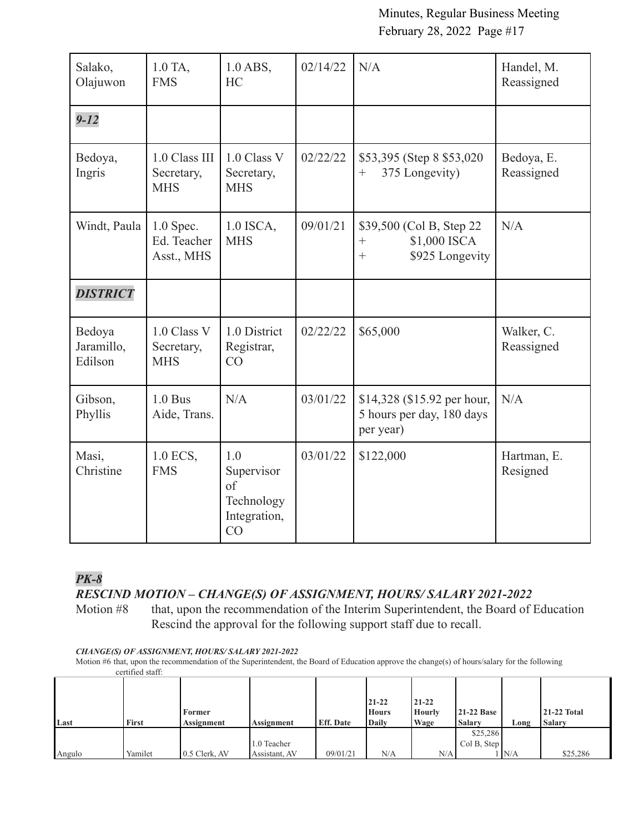| Salako,<br>Olajuwon             | 1.0 TA,<br><b>FMS</b>                     | $1.0$ ABS,<br><b>HC</b>                                     | 02/14/22 | N/A                                                                              | Handel, M.<br>Reassigned |
|---------------------------------|-------------------------------------------|-------------------------------------------------------------|----------|----------------------------------------------------------------------------------|--------------------------|
| $9 - 12$                        |                                           |                                                             |          |                                                                                  |                          |
| Bedoya,<br>Ingris               | 1.0 Class III<br>Secretary,<br><b>MHS</b> | 1.0 Class V<br>Secretary,<br><b>MHS</b>                     | 02/22/22 | \$53,395 (Step 8 \$53,020)<br>375 Longevity)<br>$^{+}$                           | Bedoya, E.<br>Reassigned |
| Windt, Paula                    | $1.0$ Spec.<br>Ed. Teacher<br>Asst., MHS  | 1.0 ISCA,<br><b>MHS</b>                                     | 09/01/21 | \$39,500 (Col B, Step 22)<br>\$1,000 ISCA<br>$^{+}$<br>\$925 Longevity<br>$^{+}$ | N/A                      |
| <b>DISTRICT</b>                 |                                           |                                                             |          |                                                                                  |                          |
| Bedoya<br>Jaramillo,<br>Edilson | 1.0 Class V<br>Secretary,<br><b>MHS</b>   | 1.0 District<br>Registrar,<br>CO                            | 02/22/22 | \$65,000                                                                         | Walker, C.<br>Reassigned |
| Gibson,<br>Phyllis              | $1.0$ Bus<br>Aide, Trans.                 | N/A                                                         | 03/01/22 | \$14,328 (\$15.92 per hour,<br>5 hours per day, 180 days<br>per year)            | N/A                      |
| Masi,<br>Christine              | 1.0 ECS,<br><b>FMS</b>                    | 1.0<br>Supervisor<br>of<br>Technology<br>Integration,<br>CO | 03/01/22 | \$122,000                                                                        | Hartman, E.<br>Resigned  |

### *PK-8*

*RESCIND MOTION – CHANGE(S) OF ASSIGNMENT, HOURS/ SALARY 2021-2022*

Motion #8 that, upon the recommendation of the Interim Superintendent, the Board of Education Rescind the approval for the following support staff due to recall.

#### *CHANGE(S) OF ASSIGNMENT, HOURS/ SALARY 2021-2022*

Motion #6 that, upon the recommendation of the Superintendent, the Board of Education approve the change(s) of hours/salary for the following certified staff:

| Last   | First   | Former<br>Assignment | <b>Assignment</b> | <b>Eff.</b> Date | $21 - 22$<br><b>Hours</b><br>Daily | $21 - 22$<br>Hourly<br>Wage | <b>21-22 Base</b><br><b>Salary</b> | Long | <b>21-22 Total</b><br><b>Salary</b> |
|--------|---------|----------------------|-------------------|------------------|------------------------------------|-----------------------------|------------------------------------|------|-------------------------------------|
|        |         |                      |                   |                  |                                    |                             |                                    |      |                                     |
|        |         |                      |                   |                  |                                    |                             | \$25,286                           |      |                                     |
|        |         |                      | 1.0 Teacher       |                  |                                    |                             | Col B, Step                        |      |                                     |
| Angulo | Yamilet | 0.5 Clerk, AV        | Assistant, AV     | 09/01/21         | N/A                                | N/A                         |                                    | N/A  | \$25,286                            |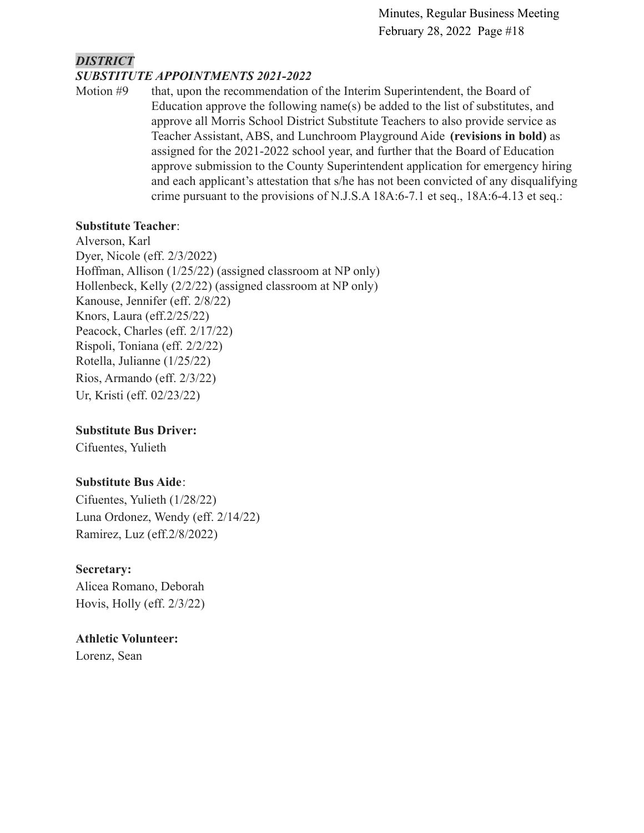#### *DISTRICT SUBSTITUTE APPOINTMENTS 2021-2022*

Motion #9 that, upon the recommendation of the Interim Superintendent, the Board of Education approve the following name(s) be added to the list of substitutes, and approve all Morris School District Substitute Teachers to also provide service as Teacher Assistant, ABS, and Lunchroom Playground Aide **(revisions in bold)** as assigned for the 2021-2022 school year, and further that the Board of Education approve submission to the County Superintendent application for emergency hiring and each applicant's attestation that s/he has not been convicted of any disqualifying crime pursuant to the provisions of N.J.S.A 18A:6-7.1 et seq., 18A:6-4.13 et seq.:

#### **Substitute Teacher**:

Alverson, Karl Dyer, Nicole (eff. 2/3/2022) Hoffman, Allison (1/25/22) (assigned classroom at NP only) Hollenbeck, Kelly (2/2/22) (assigned classroom at NP only) Kanouse, Jennifer (eff. 2/8/22) Knors, Laura (eff.2/25/22) Peacock, Charles (eff. 2/17/22) Rispoli, Toniana (eff. 2/2/22) Rotella, Julianne (1/25/22) Rios, Armando (eff. 2/3/22) Ur, Kristi (eff. 02/23/22)

#### **Substitute Bus Driver:**

Cifuentes, Yulieth

### **Substitute Bus Aide**:

Cifuentes, Yulieth (1/28/22) Luna Ordonez, Wendy (eff. 2/14/22) Ramirez, Luz (eff.2/8/2022)

#### **Secretary:**

Alicea Romano, Deborah Hovis, Holly (eff. 2/3/22)

### **Athletic Volunteer:**

Lorenz, Sean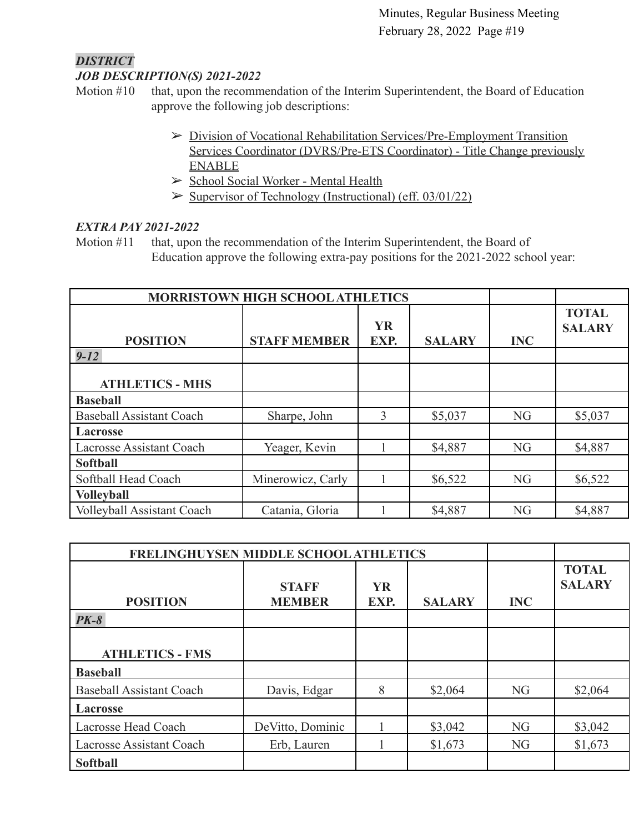#### *DISTRICT JOB DESCRIPTION(S) 2021-2022*

- Motion #10 that, upon the recommendation of the Interim Superintendent, the Board of Education approve the following job descriptions:
	- ➢ [Division of Vocational Rehabilitation Services/Pre-Employment Transition](https://drive.google.com/file/d/1C1v4GTrC1-gxojKMzZujcdE0cOuJN_YU/view?usp=sharing) [Services Coordinator \(DVRS/Pre-ETS Coordinator\) - Title Change previously](https://drive.google.com/file/d/1C1v4GTrC1-gxojKMzZujcdE0cOuJN_YU/view?usp=sharing) [ENABLE](https://drive.google.com/file/d/1C1v4GTrC1-gxojKMzZujcdE0cOuJN_YU/view?usp=sharing)
	- ➢ [School Social Worker Mental Health](https://drive.google.com/file/d/1VH2Ij3iO0AUxIu5CGgGmJfFPHPMvGc7a/view?usp=sharing)
	- $\triangleright$  [Supervisor of Technology \(Instructional\) \(eff. 03/01/22\)](https://drive.google.com/file/d/1iykyFPcQkuuoPmce3gdvdssLLUCl_ddN/view?usp=sharing)

### *EXTRA PAY 2021-2022*

Motion #11 that, upon the recommendation of the Interim Superintendent, the Board of Education approve the following extra-pay positions for the 2021-2022 school year:

| <b>MORRISTOWN HIGH SCHOOL ATHLETICS</b> |                     |                   |               |            |                               |
|-----------------------------------------|---------------------|-------------------|---------------|------------|-------------------------------|
| <b>POSITION</b>                         | <b>STAFF MEMBER</b> | <b>YR</b><br>EXP. | <b>SALARY</b> | <b>INC</b> | <b>TOTAL</b><br><b>SALARY</b> |
| $9 - 12$                                |                     |                   |               |            |                               |
| <b>ATHLETICS - MHS</b>                  |                     |                   |               |            |                               |
| <b>Baseball</b>                         |                     |                   |               |            |                               |
| <b>Baseball Assistant Coach</b>         | Sharpe, John        | 3                 | \$5,037       | <b>NG</b>  | \$5,037                       |
| <b>Lacrosse</b>                         |                     |                   |               |            |                               |
| <b>Lacrosse Assistant Coach</b>         | Yeager, Kevin       |                   | \$4,887       | <b>NG</b>  | \$4,887                       |
| <b>Softball</b>                         |                     |                   |               |            |                               |
| Softball Head Coach                     | Minerowicz, Carly   |                   | \$6,522       | <b>NG</b>  | \$6,522                       |
| <b>Volleyball</b>                       |                     |                   |               |            |                               |
| <b>Volleyball Assistant Coach</b>       | Catania, Gloria     |                   | \$4,887       | NG         | \$4,887                       |

| <b>FRELINGHUYSEN MIDDLE SCHOOL ATHLETICS</b> |                  |           |               |                |               |
|----------------------------------------------|------------------|-----------|---------------|----------------|---------------|
|                                              |                  |           |               |                | <b>TOTAL</b>  |
|                                              | <b>STAFF</b>     | <b>YR</b> |               |                | <b>SALARY</b> |
| <b>POSITION</b>                              | <b>MEMBER</b>    | EXP.      | <b>SALARY</b> | <b>INC</b>     |               |
| $PK-8$                                       |                  |           |               |                |               |
|                                              |                  |           |               |                |               |
| <b>ATHLETICS - FMS</b>                       |                  |           |               |                |               |
| <b>Baseball</b>                              |                  |           |               |                |               |
| <b>Baseball Assistant Coach</b>              | Davis, Edgar     | 8         | \$2,064       | N <sub>G</sub> | \$2,064       |
| <b>Lacrosse</b>                              |                  |           |               |                |               |
| Lacrosse Head Coach                          | DeVitto, Dominic |           | \$3,042       | <b>NG</b>      | \$3,042       |
| Lacrosse Assistant Coach                     | Erb, Lauren      |           | \$1,673       | <b>NG</b>      | \$1,673       |
| <b>Softball</b>                              |                  |           |               |                |               |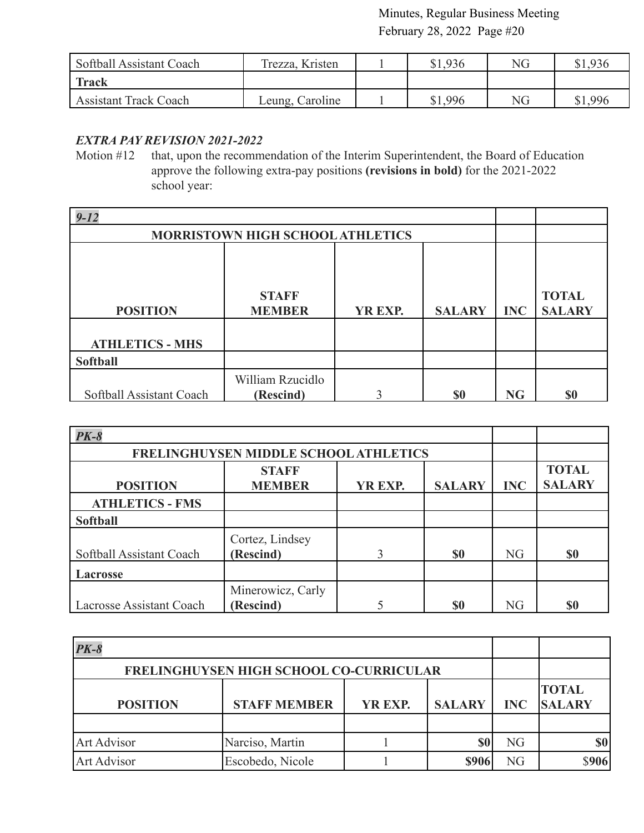| Softball Assistant Coach     | Trezza, Kristen | \$1,936 | NG        | \$1,936 |
|------------------------------|-----------------|---------|-----------|---------|
| <b>Track</b>                 |                 |         |           |         |
| <b>Assistant Track Coach</b> | Leung, Caroline | \$1,996 | <b>NG</b> | \$1,996 |

#### *EXTRA PAY REVISION 2021-2022*

Motion #12 that, upon the recommendation of the Interim Superintendent, the Board of Education approve the following extra-pay positions **(revisions in bold)** for the 2021-2022 school year:

| $9 - 12$                 |                                         |         |               |            |                               |
|--------------------------|-----------------------------------------|---------|---------------|------------|-------------------------------|
|                          | <b>MORRISTOWN HIGH SCHOOL ATHLETICS</b> |         |               |            |                               |
| <b>POSITION</b>          | <b>STAFF</b><br><b>MEMBER</b>           | YR EXP. | <b>SALARY</b> | <b>INC</b> | <b>TOTAL</b><br><b>SALARY</b> |
| <b>ATHLETICS - MHS</b>   |                                         |         |               |            |                               |
| <b>Softball</b>          |                                         |         |               |            |                               |
| Softball Assistant Coach | William Rzucidlo<br>(Rescind)           | ◠       | \$0           | <b>NG</b>  | \$0                           |

| $PK-8$                   |                                       |                               |           |           |           |
|--------------------------|---------------------------------------|-------------------------------|-----------|-----------|-----------|
|                          | FRELINGHUYSEN MIDDLE SCHOOL ATHLETICS |                               |           |           |           |
| <b>POSITION</b>          | <b>INC</b>                            | <b>TOTAL</b><br><b>SALARY</b> |           |           |           |
| <b>ATHLETICS - FMS</b>   |                                       |                               |           |           |           |
| <b>Softball</b>          |                                       |                               |           |           |           |
| Softball Assistant Coach | Cortez, Lindsey<br>(Rescind)          | 3                             | <b>SO</b> | <b>NG</b> | \$0       |
| <b>Lacrosse</b>          |                                       |                               |           |           |           |
| Lacrosse Assistant Coach | Minerowicz, Carly<br>(Rescind)        |                               | \$0       | <b>NG</b> | <b>SO</b> |

| $PK-8$                                  |                     |         |               |            |                               |
|-----------------------------------------|---------------------|---------|---------------|------------|-------------------------------|
| FRELINGHUYSEN HIGH SCHOOL CO-CURRICULAR |                     |         |               |            |                               |
| <b>POSITION</b>                         | <b>STAFF MEMBER</b> | YR EXP. | <b>SALARY</b> | <b>INC</b> | <b>TOTAL</b><br><b>SALARY</b> |
| <b>Art Advisor</b>                      | Narciso, Martin     |         |               | NG         |                               |
| Art Advisor                             | Escobedo, Nicole    |         | <b>\$906</b>  | NG         |                               |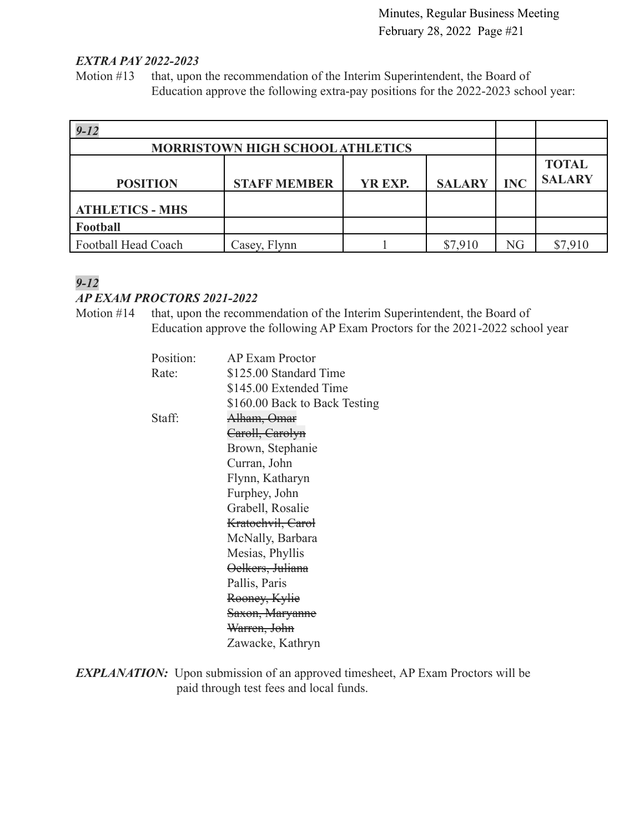#### *EXTRA PAY 2022-2023*

Motion #13 that, upon the recommendation of the Interim Superintendent, the Board of Education approve the following extra-pay positions for the 2022-2023 school year:

| $9 - 12$                         |                     |         |               |            |                               |
|----------------------------------|---------------------|---------|---------------|------------|-------------------------------|
| MORRISTOWN HIGH SCHOOL ATHLETICS |                     |         |               |            |                               |
| <b>POSITION</b>                  | <b>STAFF MEMBER</b> | YR EXP. | <b>SALARY</b> | <b>INC</b> | <b>TOTAL</b><br><b>SALARY</b> |
| <b>ATHLETICS - MHS</b>           |                     |         |               |            |                               |
| Football                         |                     |         |               |            |                               |
| Football Head Coach              | Casey, Flynn        |         | \$7,910       | NG         | \$7,910                       |

### *9-12*

#### *AP EXAM PROCTORS 2021-2022*

Motion #14 that, upon the recommendation of the Interim Superintendent, the Board of Education approve the following AP Exam Proctors for the 2021-2022 school year

| Position: | <b>AP Exam Proctor</b>        |
|-----------|-------------------------------|
| Rate:     | \$125.00 Standard Time        |
|           | \$145.00 Extended Time        |
|           | \$160.00 Back to Back Testing |
| Staff:    | Alham, Omar                   |
|           | Caroll, Carolyn               |
|           | Brown, Stephanie              |
|           | Curran, John                  |
|           | Flynn, Katharyn               |
|           | Furphey, John                 |
|           | Grabell, Rosalie              |
|           | <del>Kratochvil, Carol</del>  |
|           | McNally, Barbara              |
|           | Mesias, Phyllis               |
|           | <del>Oelkers, Juliana</del>   |
|           | Pallis, Paris                 |
|           | Rooney, Kylie                 |
|           | Saxon, Maryanne               |
|           | <del>Warren, John</del>       |
|           | Zawacke, Kathryn              |

**EXPLANATION:** Upon submission of an approved timesheet, AP Exam Proctors will be paid through test fees and local funds.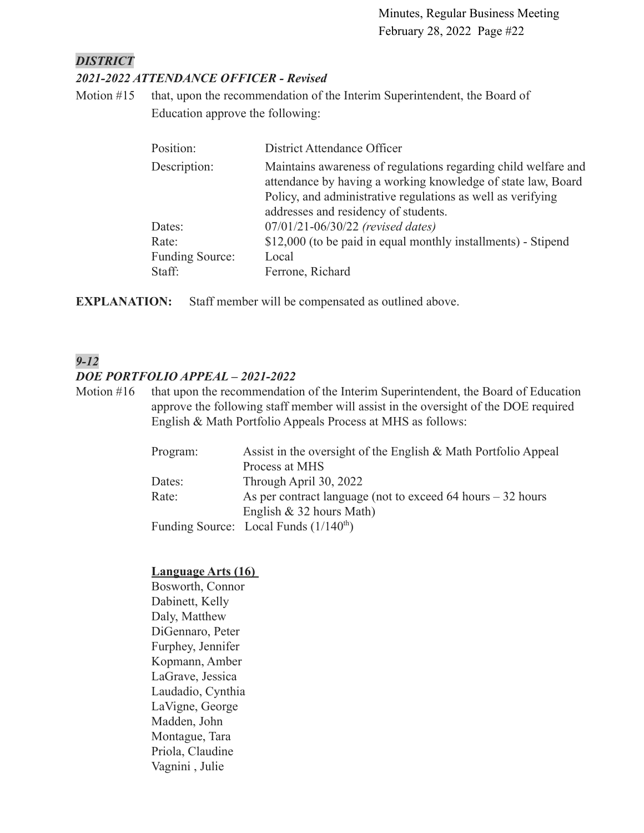#### *DISTRICT*

#### *2021-2022 ATTENDANCE OFFICER - Revised*

Motion #15 that, upon the recommendation of the Interim Superintendent, the Board of Education approve the following:

| Position:       | District Attendance Officer                                                                                                    |
|-----------------|--------------------------------------------------------------------------------------------------------------------------------|
| Description:    | Maintains awareness of regulations regarding child welfare and<br>attendance by having a working knowledge of state law, Board |
|                 | Policy, and administrative regulations as well as verifying<br>addresses and residency of students.                            |
| Dates:          | 07/01/21-06/30/22 (revised dates)                                                                                              |
| Rate:           | \$12,000 (to be paid in equal monthly installments) - Stipend                                                                  |
| Funding Source: | Local                                                                                                                          |
| Staff:          | Ferrone, Richard                                                                                                               |

**EXPLANATION:** Staff member will be compensated as outlined above.

### *9-12*

#### *DOE PORTFOLIO APPEAL – 2021-2022*

Motion #16 that upon the recommendation of the Interim Superintendent, the Board of Education approve the following staff member will assist in the oversight of the DOE required English & Math Portfolio Appeals Process at MHS as follows:

| Program: | Assist in the oversight of the English & Math Portfolio Appeal |
|----------|----------------------------------------------------------------|
|          | Process at MHS                                                 |
| Dates:   | Through April 30, 2022                                         |
| Rate:    | As per contract language (not to exceed 64 hours $-32$ hours   |
|          | English $& 32$ hours Math)                                     |
|          | Funding Source: Local Funds $(1/140th)$                        |

#### **Language Arts (16)**

Bosworth, Connor Dabinett, Kelly Daly, Matthew DiGennaro, Peter Furphey, Jennifer Kopmann, Amber LaGrave, Jessica Laudadio, Cynthia LaVigne, George Madden, John Montague, Tara Priola, Claudine Vagnini , Julie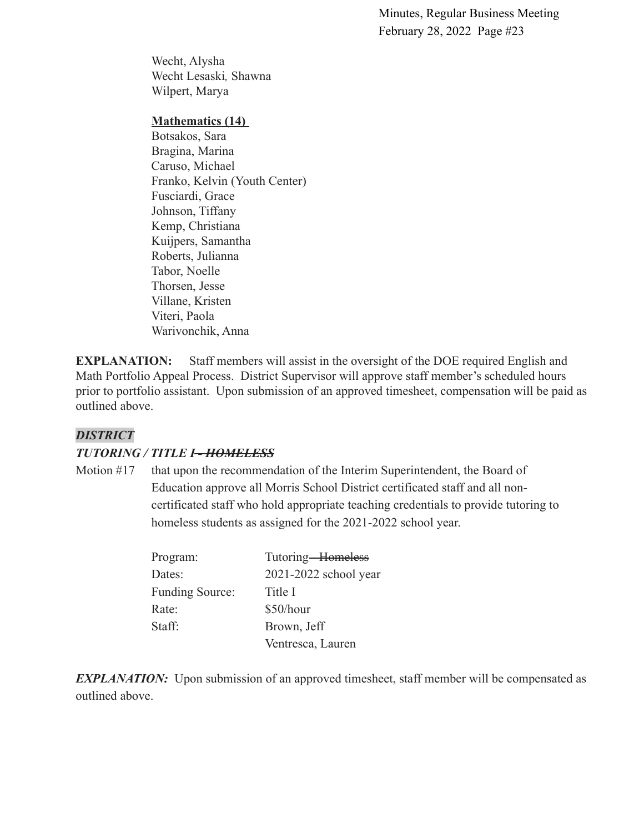Wecht, Alysha Wecht Lesaski*,* Shawna Wilpert, Marya

#### **Mathematics (14)**

Botsakos, Sara Bragina, Marina Caruso, Michael Franko, Kelvin (Youth Center) Fusciardi, Grace Johnson, Tiffany Kemp, Christiana Kuijpers, Samantha Roberts, Julianna Tabor, Noelle Thorsen, Jesse Villane, Kristen Viteri, Paola Warivonchik, Anna

**EXPLANATION:** Staff members will assist in the oversight of the DOE required English and Math Portfolio Appeal Process. District Supervisor will approve staff member's scheduled hours prior to portfolio assistant. Upon submission of an approved timesheet, compensation will be paid as outlined above.

#### *DISTRICT*

#### *TUTORING / TITLE I - HOMELESS*

Motion #17 that upon the recommendation of the Interim Superintendent, the Board of Education approve all Morris School District certificated staff and all noncertificated staff who hold appropriate teaching credentials to provide tutoring to homeless students as assigned for the 2021-2022 school year.

| Program:               | Tutoring-Homeless     |
|------------------------|-----------------------|
| Dates:                 | 2021-2022 school year |
| <b>Funding Source:</b> | Title I               |
| Rate:                  | \$50/hour             |
| Staff:                 | Brown, Jeff           |
|                        | Ventresca, Lauren     |

*EXPLANATION:* Upon submission of an approved timesheet, staff member will be compensated as outlined above.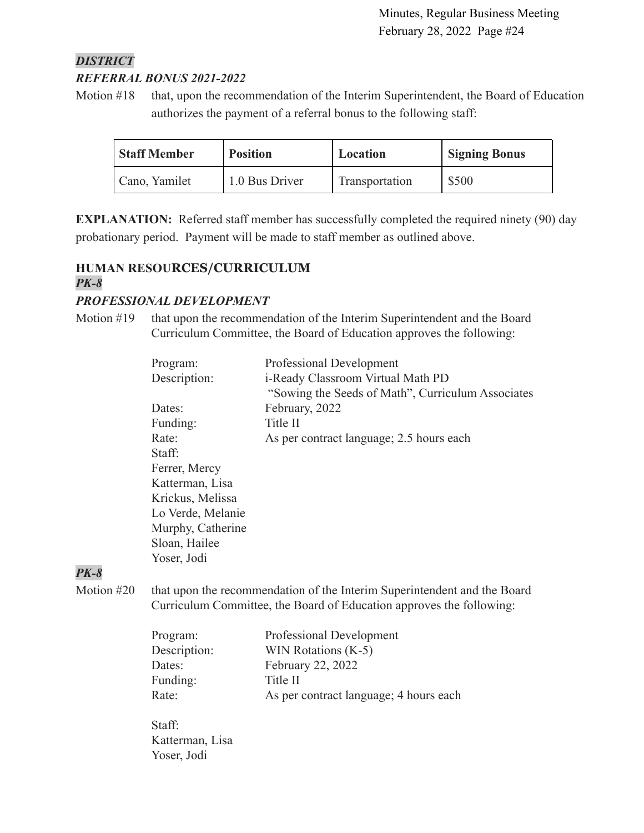## *DISTRICT REFERRAL BONUS 2021-2022*

Motion #18 that, upon the recommendation of the Interim Superintendent, the Board of Education authorizes the payment of a referral bonus to the following staff:

| <b>Staff Member</b> | <b>Position</b> | Location       | <b>Signing Bonus</b> |
|---------------------|-----------------|----------------|----------------------|
| Cano, Yamilet       | 1.0 Bus Driver  | Transportation | \$500                |

**EXPLANATION:** Referred staff member has successfully completed the required ninety (90) day probationary period. Payment will be made to staff member as outlined above.

### **HUMAN RESOURCES/CURRICULUM** *PK-8*

### *PROFESSIONAL DEVELOPMENT*

Motion #19 that upon the recommendation of the Interim Superintendent and the Board Curriculum Committee, the Board of Education approves the following:

| Program:          | Professional Development                          |
|-------------------|---------------------------------------------------|
| Description:      | i-Ready Classroom Virtual Math PD                 |
|                   | "Sowing the Seeds of Math", Curriculum Associates |
| Dates:            | February, 2022                                    |
| Funding:          | Title II                                          |
| Rate:             | As per contract language; 2.5 hours each          |
| Staff:            |                                                   |
| Ferrer, Mercy     |                                                   |
| Katterman, Lisa   |                                                   |
| Krickus, Melissa  |                                                   |
| Lo Verde, Melanie |                                                   |
| Murphy, Catherine |                                                   |
| Sloan, Hailee     |                                                   |
| Yoser, Jodi       |                                                   |
|                   |                                                   |

### *PK-8*

Motion #20 that upon the recommendation of the Interim Superintendent and the Board Curriculum Committee, the Board of Education approves the following:

| Program:     | Professional Development               |
|--------------|----------------------------------------|
| Description: | WIN Rotations (K-5)                    |
| Dates:       | February 22, 2022                      |
| Funding:     | Title II                               |
| Rate:        | As per contract language; 4 hours each |
|              |                                        |

Staff: Katterman, Lisa Yoser, Jodi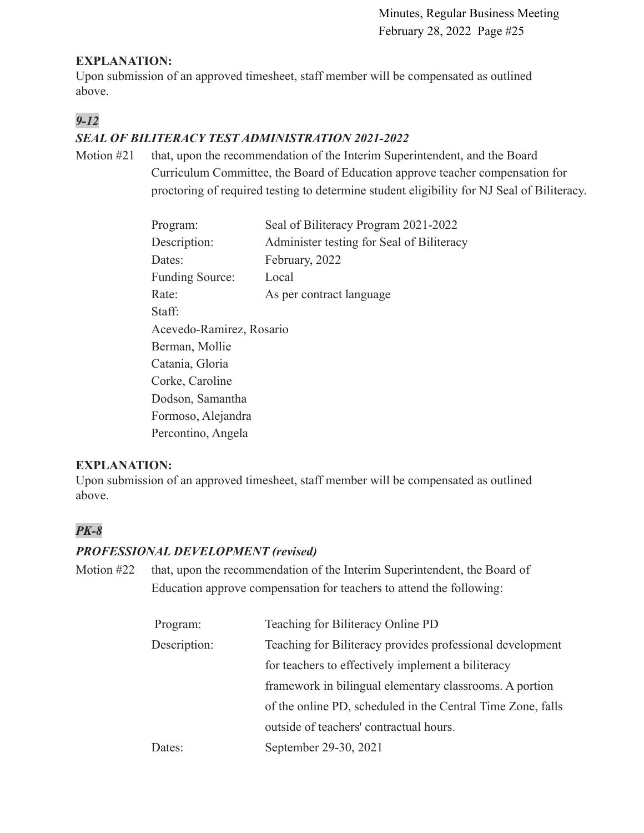#### **EXPLANATION:**

Upon submission of an approved timesheet, staff member will be compensated as outlined above.

## *9-12*

### *SEAL OF BILITERACY TEST ADMINISTRATION 2021-2022*

Motion #21 that, upon the recommendation of the Interim Superintendent, and the Board Curriculum Committee, the Board of Education approve teacher compensation for proctoring of required testing to determine student eligibility for NJ Seal of Biliteracy.

| Program:                 | Seal of Biliteracy Program 2021-2022      |
|--------------------------|-------------------------------------------|
| Description:             | Administer testing for Seal of Biliteracy |
| Dates:                   | February, 2022                            |
| <b>Funding Source:</b>   | Local                                     |
| Rate:                    | As per contract language                  |
| Staff:                   |                                           |
| Acevedo-Ramirez, Rosario |                                           |
| Berman, Mollie           |                                           |
| Catania, Gloria          |                                           |
| Corke, Caroline          |                                           |
| Dodson, Samantha         |                                           |
| Formoso, Alejandra       |                                           |
| Percontino, Angela       |                                           |

### **EXPLANATION:**

Upon submission of an approved timesheet, staff member will be compensated as outlined above.

### *PK-8*

#### *PROFESSIONAL DEVELOPMENT (revised)*

Motion #22 that, upon the recommendation of the Interim Superintendent, the Board of Education approve compensation for teachers to attend the following:

| Program:     | Teaching for Biliteracy Online PD                           |
|--------------|-------------------------------------------------------------|
| Description: | Teaching for Biliteracy provides professional development   |
|              | for teachers to effectively implement a biliteracy          |
|              | framework in bilingual elementary classrooms. A portion     |
|              | of the online PD, scheduled in the Central Time Zone, falls |
|              | outside of teachers' contractual hours.                     |
| Dates:       | September 29-30, 2021                                       |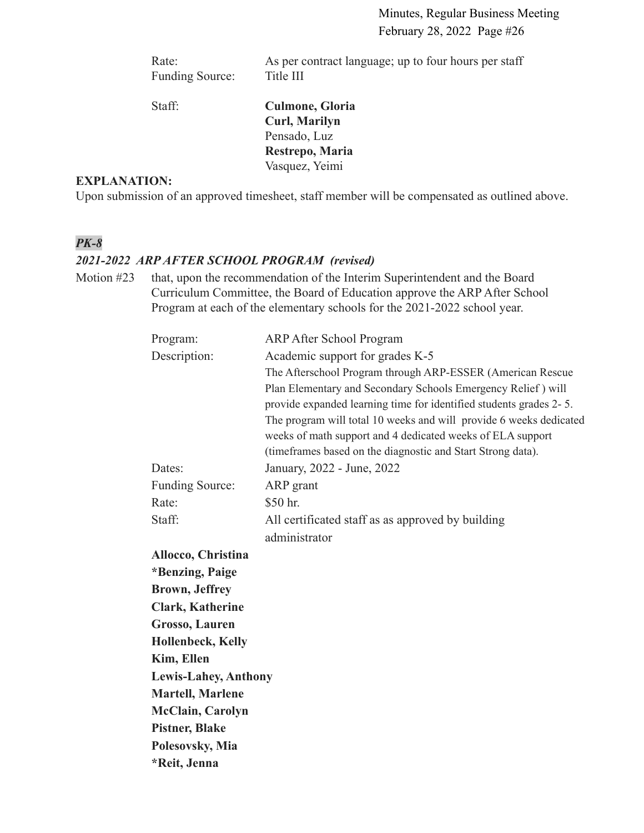Rate: As per contract language; up to four hours per staff Funding Source: Title III

Staff: **Culmone, Gloria Curl, Marilyn** Pensado, Luz **Restrepo, Maria** Vasquez, Yeimi

### **EXPLANATION:**

Upon submission of an approved timesheet, staff member will be compensated as outlined above.

### *PK-8*

#### *2021-2022 ARP AFTER SCHOOL PROGRAM (revised)*

Motion #23 that, upon the recommendation of the Interim Superintendent and the Board Curriculum Committee, the Board of Education approve the ARP After School Program at each of the elementary schools for the 2021-2022 school year.

| Program:                    | <b>ARP After School Program</b>                                    |
|-----------------------------|--------------------------------------------------------------------|
| Description:                | Academic support for grades K-5                                    |
|                             | The Afterschool Program through ARP-ESSER (American Rescue         |
|                             | Plan Elementary and Secondary Schools Emergency Relief) will       |
|                             | provide expanded learning time for identified students grades 2-5. |
|                             | The program will total 10 weeks and will provide 6 weeks dedicated |
|                             | weeks of math support and 4 dedicated weeks of ELA support         |
|                             | (timeframes based on the diagnostic and Start Strong data).        |
| Dates:                      | January, 2022 - June, 2022                                         |
| <b>Funding Source:</b>      | ARP grant                                                          |
| Rate:                       | \$50 hr.                                                           |
| Staff:                      | All certificated staff as as approved by building                  |
|                             | administrator                                                      |
| Allocco, Christina          |                                                                    |
| *Benzing, Paige             |                                                                    |
| <b>Brown</b> , Jeffrey      |                                                                    |
| <b>Clark, Katherine</b>     |                                                                    |
| Grosso, Lauren              |                                                                    |
| <b>Hollenbeck, Kelly</b>    |                                                                    |
| Kim, Ellen                  |                                                                    |
| <b>Lewis-Lahey, Anthony</b> |                                                                    |
| <b>Martell, Marlene</b>     |                                                                    |
| <b>McClain, Carolyn</b>     |                                                                    |
| <b>Pistner, Blake</b>       |                                                                    |
| Polesovsky, Mia             |                                                                    |
| *Reit, Jenna                |                                                                    |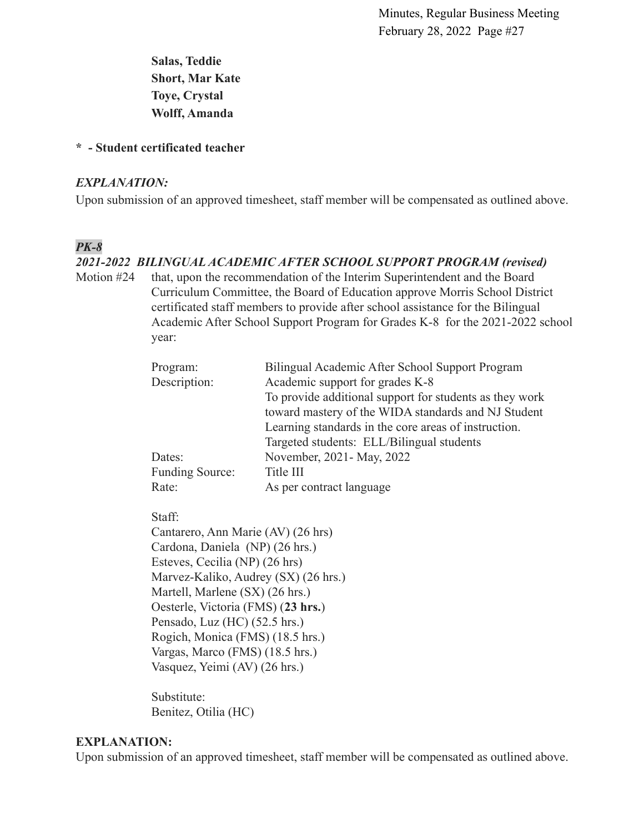**Salas, Teddie Short, Mar Kate Toye, Crystal Wolff, Amanda**

#### **\* - Student certificated teacher**

#### *EXPLANATION:*

Upon submission of an approved timesheet, staff member will be compensated as outlined above.

### *PK-8*

#### *2021-2022 BILINGUAL ACADEMIC AFTER SCHOOL SUPPORT PROGRAM (revised)*

Motion #24 that, upon the recommendation of the Interim Superintendent and the Board Curriculum Committee, the Board of Education approve Morris School District certificated staff members to provide after school assistance for the Bilingual Academic After School Support Program for Grades K-8 for the 2021-2022 school year:

| Program:        | Bilingual Academic After School Support Program         |
|-----------------|---------------------------------------------------------|
| Description:    | Academic support for grades K-8                         |
|                 | To provide additional support for students as they work |
|                 | toward mastery of the WIDA standards and NJ Student     |
|                 | Learning standards in the core areas of instruction.    |
|                 | Targeted students: ELL/Bilingual students               |
| Dates:          | November, 2021 - May, 2022                              |
| Funding Source: | Title III                                               |
| Rate:           | As per contract language                                |

Staff:

Cantarero, Ann Marie (AV) (26 hrs) Cardona, Daniela (NP) (26 hrs.) Esteves, Cecilia (NP) (26 hrs) Marvez-Kaliko, Audrey (SX) (26 hrs.) Martell, Marlene (SX) (26 hrs.) Oesterle, Victoria (FMS) (**23 hrs.**) Pensado, Luz (HC) (52.5 hrs.) Rogich, Monica (FMS) (18.5 hrs.) Vargas, Marco (FMS) (18.5 hrs.) Vasquez, Yeimi (AV) (26 hrs.)

Substitute: Benitez, Otilia (HC)

#### **EXPLANATION:**

Upon submission of an approved timesheet, staff member will be compensated as outlined above.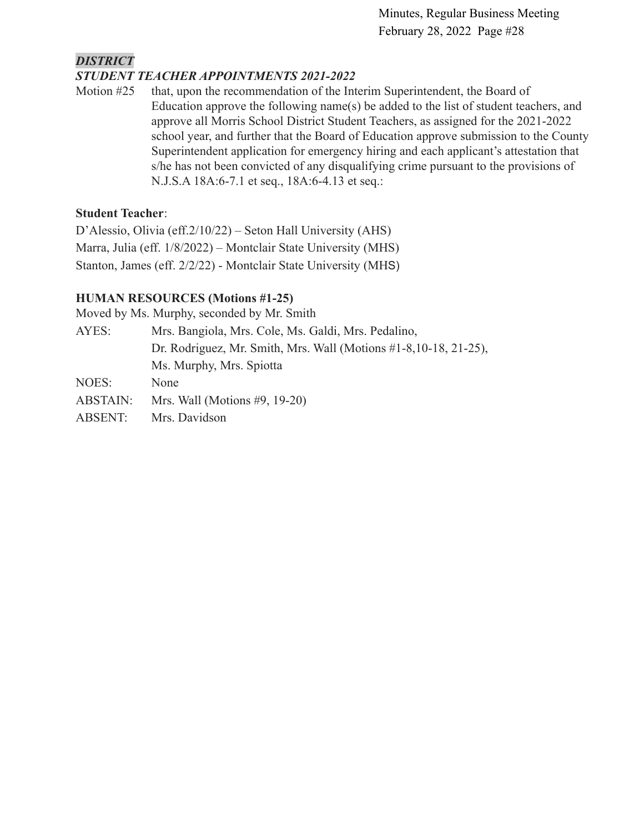### *DISTRICT*

### *STUDENT TEACHER APPOINTMENTS 2021-2022*

Motion #25 that, upon the recommendation of the Interim Superintendent, the Board of Education approve the following name(s) be added to the list of student teachers, and approve all Morris School District Student Teachers, as assigned for the 2021-2022 school year, and further that the Board of Education approve submission to the County Superintendent application for emergency hiring and each applicant's attestation that s/he has not been convicted of any disqualifying crime pursuant to the provisions of N.J.S.A 18A:6-7.1 et seq., 18A:6-4.13 et seq.:

#### **Student Teacher**:

D'Alessio, Olivia (eff.2/10/22) – Seton Hall University (AHS) Marra, Julia (eff. 1/8/2022) – Montclair State University (MHS) Stanton, James (eff. 2/2/22) - Montclair State University (MHS)

### **HUMAN RESOURCES (Motions #1-25)**

Moved by Ms. Murphy, seconded by Mr. Smith

| AYES:                                                                | Mrs. Bangiola, Mrs. Cole, Ms. Galdi, Mrs. Pedalino, |
|----------------------------------------------------------------------|-----------------------------------------------------|
| Dr. Rodriguez, Mr. Smith, Mrs. Wall (Motions $#1-8, 10-18, 21-25$ ), |                                                     |
|                                                                      | Ms. Murphy, Mrs. Spiotta                            |
| NOES:                                                                | None                                                |
| ABSTAIN:                                                             | Mrs. Wall (Motions $#9$ , 19-20)                    |
| ABSENT:                                                              | Mrs. Davidson                                       |
|                                                                      |                                                     |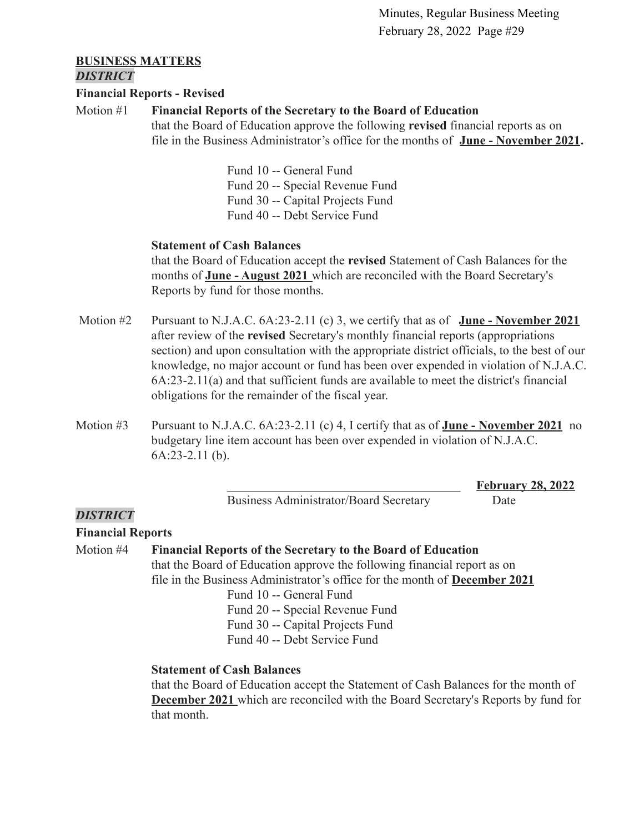\_\_\_\_\_\_\_\_\_\_\_\_\_\_\_\_\_\_\_\_\_\_\_\_\_\_\_\_\_\_\_\_\_\_\_\_\_ **February 28, 2022**

#### **BUSINESS MATTERS** *DISTRICT*

#### **Financial Reports - Revised**

#### Motion #1 **Financial Reports of the Secretary to the Board of Education**

that the Board of Education approve the following **revised** financial reports as on file in the Business Administrator's office for the months of **[June - November 2021](https://drive.google.com/file/d/1kn9jhidP8wEZRKJkgdIXsy2sJCFcPpPF/view?usp=sharing).**

> Fund 10 -- General Fund Fund 20 -- Special Revenue Fund Fund 30 -- Capital Projects Fund Fund 40 -- Debt Service Fund

#### **Statement of Cash Balances**

that the Board of Education accept the **revised** Statement of Cash Balances for the months of **[June - August 2021](https://drive.google.com/file/d/1XitNoN9SBkDmdu4O89nQJ4zz0caJ7Zvv/view?usp=sharing)** which are reconciled with the Board Secretary's Reports by fund for those months.

- Motion #2 Pursuant to N.J.A.C. 6A:23-2.11 (c) 3, we certify that as of **June November 2021** after review of the **revised** Secretary's monthly financial reports (appropriations section) and upon consultation with the appropriate district officials, to the best of our knowledge, no major account or fund has been over expended in violation of N.J.A.C. 6A:23-2.11(a) and that sufficient funds are available to meet the district's financial obligations for the remainder of the fiscal year.
- Motion #3 Pursuant to N.J.A.C. 6A:23-2.11 (c) 4, I certify that as of **June November 2021** no budgetary line item account has been over expended in violation of N.J.A.C. 6A:23-2.11 (b).

Business Administrator/Board Secretary Date

#### *DISTRICT*

#### **Financial Reports**

Motion #4 **Financial Reports of the Secretary to the Board of Education** that the Board of Education approve the following financial report as on file in the Business Administrator's office for the month of **[December 2021](https://drive.google.com/file/d/1rD9ycRs6f0-NuoowlyfzeDkP2q91ncBh/view?usp=sharing)** Fund 10 -- General Fund Fund 20 -- Special Revenue Fund Fund 30 -- Capital Projects Fund

Fund 40 -- Debt Service Fund

#### **Statement of Cash Balances**

that the Board of Education accept the Statement of Cash Balances for the month of **[December 2021](https://drive.google.com/file/d/1-wQhGiY0IvQZ_IO6pdHElWS7GRwC13hK/view?usp=sharing)** which are reconciled with the Board Secretary's Reports by fund for that month.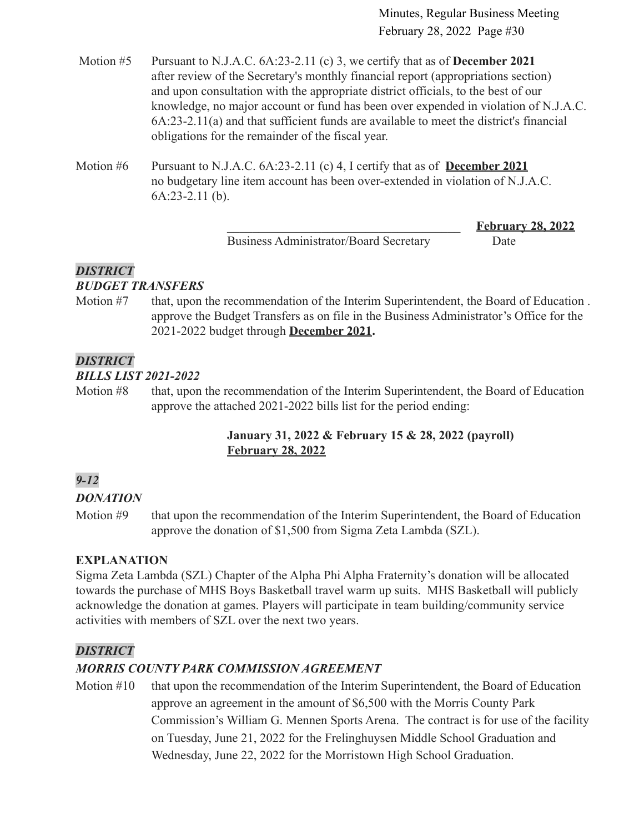- Motion #5 Pursuant to N.J.A.C. 6A:23-2.11 (c) 3, we certify that as of **December 2021** after review of the Secretary's monthly financial report (appropriations section) and upon consultation with the appropriate district officials, to the best of our knowledge, no major account or fund has been over expended in violation of N.J.A.C. 6A:23-2.11(a) and that sufficient funds are available to meet the district's financial obligations for the remainder of the fiscal year.
- Motion #6 Pursuant to N.J.A.C. 6A:23-2.11 (c) 4, I certify that as of **December 2021** no budgetary line item account has been over-extended in violation of N.J.A.C. 6A:23-2.11 (b).

Business Administrator/Board Secretary Date

\_\_\_\_\_\_\_\_\_\_\_\_\_\_\_\_\_\_\_\_\_\_\_\_\_\_\_\_\_\_\_\_\_\_\_\_\_ **February 28, 2022**

### *DISTRICT*

### *BUDGET TRANSFERS*

Motion #7 that, upon the recommendation of the Interim Superintendent, the Board of Education . approve the Budget Transfers as on file in the Business Administrator's Office for the 2021-2022 budget through **[December 2021.](https://drive.google.com/file/d/1AA5bqmL92_AGreREc1emtVuuR1mLGVcc/view?usp=sharing)**

### *DISTRICT*

#### *BILLS LIST 2021-2022*

Motion #8 that, upon the recommendation of the Interim Superintendent, the Board of Education approve the attached 2021-2022 bills list for the period ending:

### **January 31, 2022 & February 15 & 28, 2022 (payroll) [February 28,](https://drive.google.com/file/d/1YvNgJbf9D4QH41UrHgznSSleiTJUnJaJ/view?usp=sharing) 2022**

## *9-12*

### *DONATION*

Motion #9 that upon the recommendation of the Interim Superintendent, the Board of Education approve the donation of \$1,500 from Sigma Zeta Lambda (SZL).

### **EXPLANATION**

Sigma Zeta Lambda (SZL) Chapter of the Alpha Phi Alpha Fraternity's donation will be allocated towards the purchase of MHS Boys Basketball travel warm up suits. MHS Basketball will publicly acknowledge the donation at games. Players will participate in team building/community service activities with members of SZL over the next two years.

### *DISTRICT*

### *MORRIS COUNTY PARK COMMISSION AGREEMENT*

Motion #10 that upon the recommendation of the Interim Superintendent, the Board of Education approve an agreement in the amount of \$6,500 with the Morris County Park Commission's William G. Mennen Sports Arena. The contract is for use of the facility on Tuesday, June 21, 2022 for the Frelinghuysen Middle School Graduation and Wednesday, June 22, 2022 for the Morristown High School Graduation.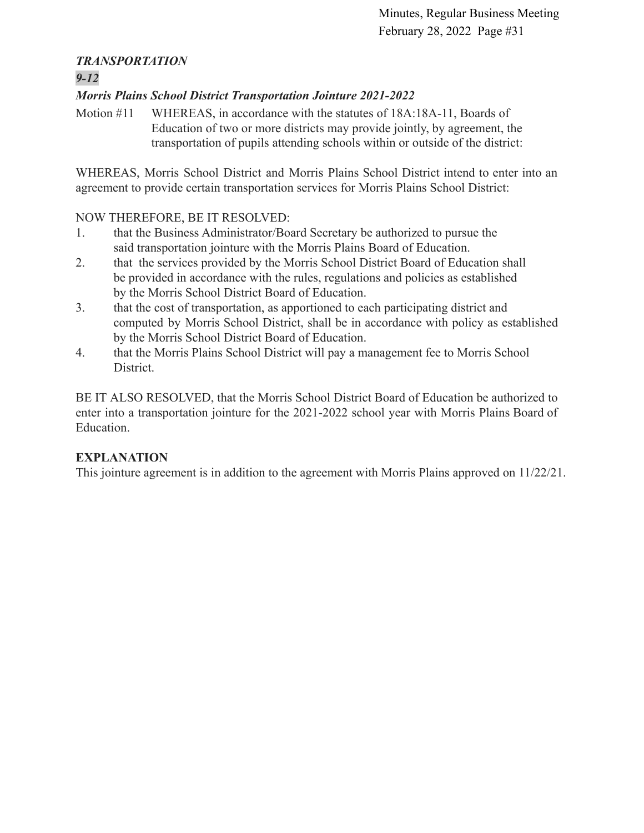### *TRANSPORTATION*

### *9-12*

### *Morris Plains School District Transportation Jointure 2021-2022*

Motion #11 WHEREAS, in accordance with the statutes of 18A:18A-11, Boards of Education of two or more districts may provide jointly, by agreement, the transportation of pupils attending schools within or outside of the district:

WHEREAS, Morris School District and Morris Plains School District intend to enter into an agreement to provide certain transportation services for Morris Plains School District:

### NOW THEREFORE, BE IT RESOLVED:

- 1. that the Business Administrator/Board Secretary be authorized to pursue the said transportation jointure with the Morris Plains Board of Education.
- 2. that the services provided by the Morris School District Board of Education shall be provided in accordance with the rules, regulations and policies as established by the Morris School District Board of Education.
- 3. that the cost of transportation, as apportioned to each participating district and computed by Morris School District, shall be in accordance with policy as established by the Morris School District Board of Education.
- 4. that the Morris Plains School District will pay a management fee to Morris School District.

BE IT ALSO RESOLVED, that the Morris School District Board of Education be authorized to enter into a transportation jointure for the 2021-2022 school year with Morris Plains Board of Education.

### **EXPLANATION**

This jointure agreement is in addition to the agreement with Morris Plains approved on 11/22/21.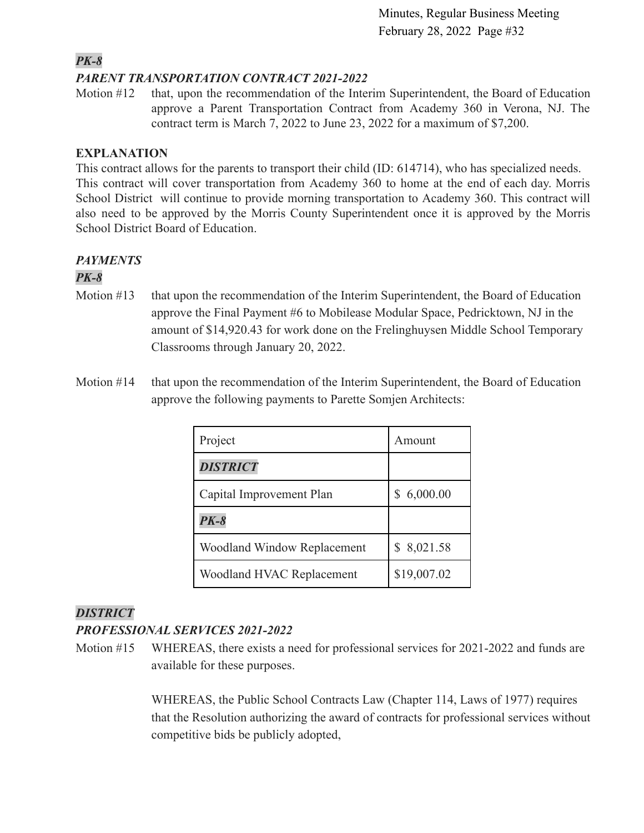### *PK-8*

### *PARENT TRANSPORTATION CONTRACT 2021-2022*

Motion #12 that, upon the recommendation of the Interim Superintendent, the Board of Education approve a Parent Transportation Contract from Academy 360 in Verona, NJ. The contract term is March 7, 2022 to June 23, 2022 for a maximum of \$7,200.

### **EXPLANATION**

This contract allows for the parents to transport their child (ID: 614714), who has specialized needs. This contract will cover transportation from Academy 360 to home at the end of each day. Morris School District will continue to provide morning transportation to Academy 360. This contract will also need to be approved by the Morris County Superintendent once it is approved by the Morris School District Board of Education.

### *PAYMENTS*

### *PK-8*

- Motion #13 that upon the recommendation of the Interim Superintendent, the Board of Education approve the Final Payment #6 to Mobilease Modular Space, Pedricktown, NJ in the amount of \$14,920.43 for work done on the Frelinghuysen Middle School Temporary Classrooms through January 20, 2022.
- Motion #14 that upon the recommendation of the Interim Superintendent, the Board of Education approve the following payments to Parette Somjen Architects:

| Project                     | Amount      |
|-----------------------------|-------------|
| <b>DISTRICT</b>             |             |
| Capital Improvement Plan    | 6,000.00    |
| $PK-8$                      |             |
| Woodland Window Replacement | 8,021.58    |
| Woodland HVAC Replacement   | \$19,007.02 |

### *DISTRICT*

### *PROFESSIONAL SERVICES 2021-2022*

Motion #15 WHEREAS, there exists a need for professional services for 2021-2022 and funds are available for these purposes.

> WHEREAS, the Public School Contracts Law (Chapter 114, Laws of 1977) requires that the Resolution authorizing the award of contracts for professional services without competitive bids be publicly adopted,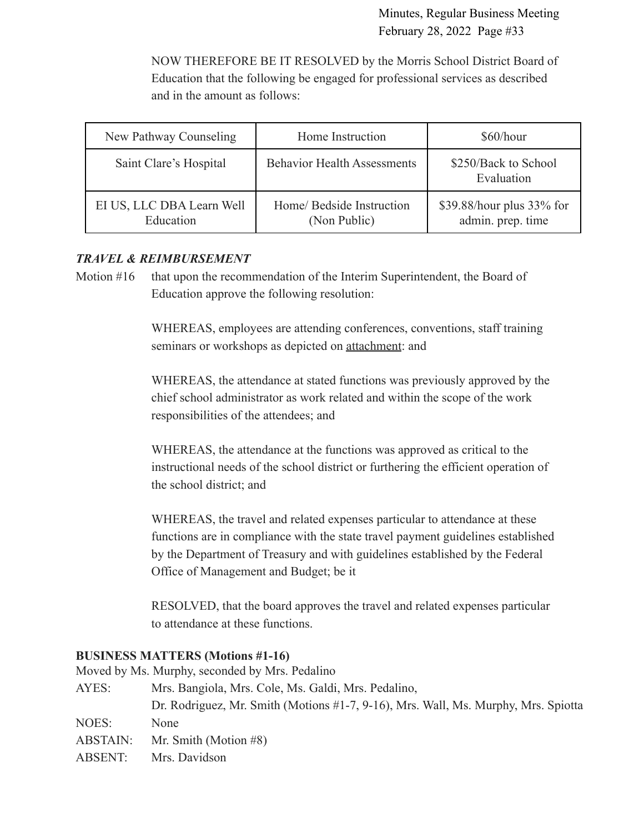NOW THEREFORE BE IT RESOLVED by the Morris School District Board of Education that the following be engaged for professional services as described and in the amount as follows:

| New Pathway Counseling                 | Home Instruction                          | \$60/hour                                      |
|----------------------------------------|-------------------------------------------|------------------------------------------------|
| Saint Clare's Hospital                 | <b>Behavior Health Assessments</b>        | \$250/Back to School<br>Evaluation             |
| EI US, LLC DBA Learn Well<br>Education | Home/ Bedside Instruction<br>(Non Public) | \$39.88/hour plus 33% for<br>admin. prep. time |

### *TRAVEL & REIMBURSEMENT*

Motion #16 that upon the recommendation of the Interim Superintendent, the Board of Education approve the following resolution:

> WHEREAS, employees are attending conferences, conventions, staff training seminars or workshops as depicted on **attachment**: and

WHEREAS, the attendance at stated functions was previously approved by the chief school administrator as work related and within the scope of the work responsibilities of the attendees; and

WHEREAS, the attendance at the functions was approved as critical to the instructional needs of the school district or furthering the efficient operation of the school district; and

WHEREAS, the travel and related expenses particular to attendance at these functions are in compliance with the state travel payment guidelines established by the Department of Treasury and with guidelines established by the Federal Office of Management and Budget; be it

RESOLVED, that the board approves the travel and related expenses particular to attendance at these functions.

#### **BUSINESS MATTERS (Motions #1-16)**

Moved by Ms. Murphy, seconded by Mrs. Pedalino AYES: Mrs. Bangiola, Mrs. Cole, Ms. Galdi, Mrs. Pedalino, Dr. Rodriguez, Mr. Smith (Motions #1-7, 9-16), Mrs. Wall, Ms. Murphy, Mrs. Spiotta NOES: None ABSTAIN: Mr. Smith (Motion #8) ABSENT: Mrs. Davidson